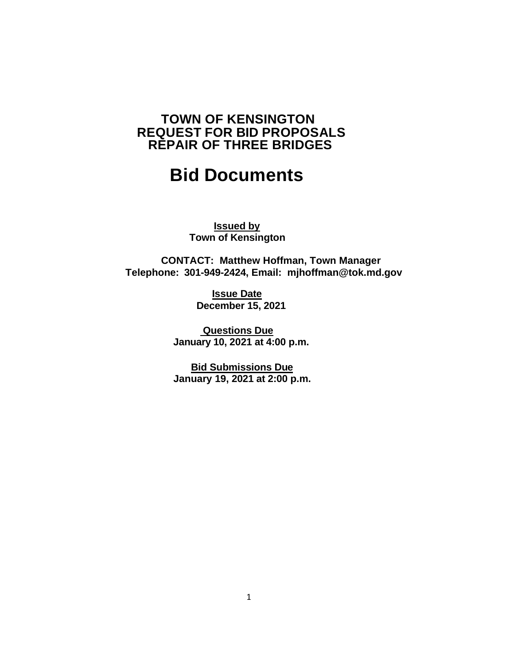# **TOWN OF KENSINGTON REQUEST FOR BID PROPOSALS REPAIR OF THREE BRIDGES**

# **Bid Documents**

**Issued by Town of Kensington**

 **CONTACT: Matthew Hoffman, Town Manager Telephone: 301-949-2424, Email: mjhoffman@tok.md.gov**

> **Issue Date December 15, 2021**

**Questions Due January 10, 2021 at 4:00 p.m.**

**Bid Submissions Due January 19, 2021 at 2:00 p.m.**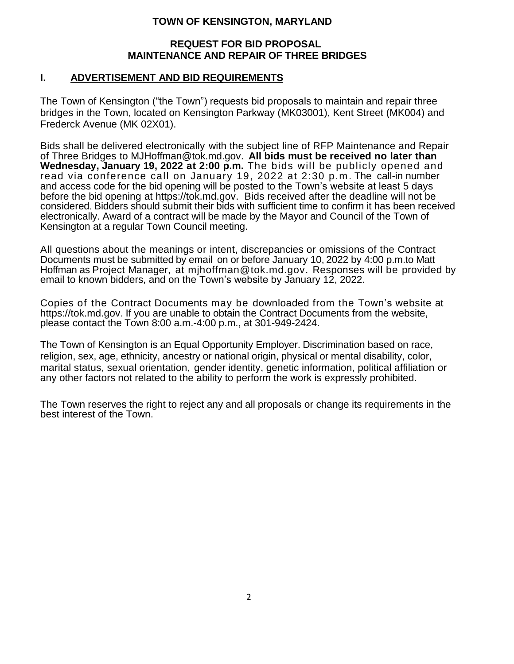# **TOWN OF KENSINGTON, MARYLAND**

## **REQUEST FOR BID PROPOSAL MAINTENANCE AND REPAIR OF THREE BRIDGES**

# **I. ADVERTISEMENT AND BID REQUIREMENTS**

The Town of Kensington ("the Town") requests bid proposals to maintain and repair three bridges in the Town, located on Kensington Parkway (MK03001), Kent Street (MK004) and Frederck Avenue (MK 02X01).

Bids shall be delivered electronically with the subject line of RFP Maintenance and Repair of Three Bridges to MJHoffman@tok.md.gov. **All bids must be received no later than Wednesday, January 19, 2022 at 2:00 p.m.** The bids will be publicly opened and read via conference call on January 19, 2022 at 2:30 p.m. The call-in number and access code for the bid opening will be posted to the Town's website at least 5 days before the bid opening at https://tok.md.gov.Bids received after the deadline will not be considered. Bidders should submit their bids with sufficient time to confirm it has been received electronically. Award of a contract will be made by the Mayor and Council of the Town of Kensington at a regular Town Council meeting.

All questions about the meanings or intent, discrepancies or omissions of the Contract Documents must be submitted by email on or before January 10, 2022 by 4:00 p.m.to Matt Hoffman as Project Manager, at mjhoffman@tok.md.gov. Responses will be provided by email to known bidders, and on the Town's website by January 12, 2022.

Copies of the Contract Documents may be downloaded from the Town's website at https://tok.md.gov. If you are unable to obtain the Contract Documents from the website, please contact the Town 8:00 a.m.-4:00 p.m., at 301-949-2424.

The Town of Kensington is an Equal Opportunity Employer. Discrimination based on race, religion, sex, age, ethnicity, ancestry or national origin, physical or mental disability, color, marital status, sexual orientation, gender identity, genetic information, political affiliation or any other factors not related to the ability to perform the work is expressly prohibited.

The Town reserves the right to reject any and all proposals or change its requirements in the best interest of the Town.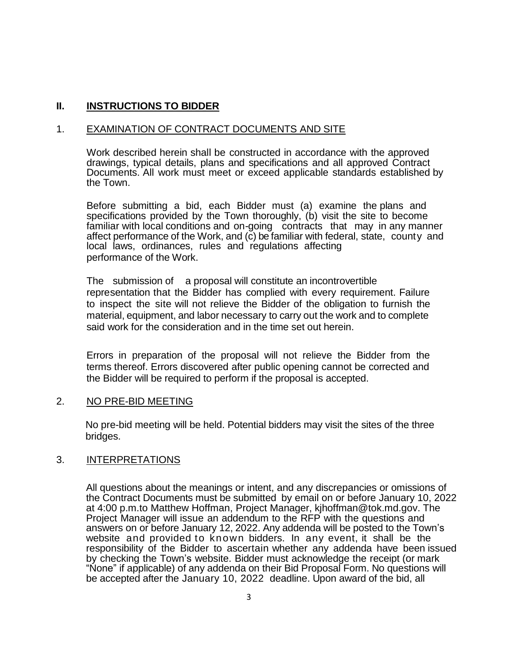# **II. INSTRUCTIONS TO BIDDER**

## 1. EXAMINATION OF CONTRACT DOCUMENTS AND SITE

Work described herein shall be constructed in accordance with the approved drawings, typical details, plans and specifications and all approved Contract Documents. All work must meet or exceed applicable standards established by the Town.

Before submitting a bid, each Bidder must (a) examine the plans and specifications provided by the Town thoroughly, (b) visit the site to become familiar with local conditions and on-going contracts that may in any manner affect performance of the Work, and (c) be familiar with federal, state, county and local laws, ordinances, rules and regulations affecting performance of the Work.

The submission of a proposal will constitute an incontrovertible representation that the Bidder has complied with every requirement. Failure to inspect the site will not relieve the Bidder of the obligation to furnish the material, equipment, and labor necessary to carry out the work and to complete said work for the consideration and in the time set out herein.

Errors in preparation of the proposal will not relieve the Bidder from the terms thereof. Errors discovered after public opening cannot be corrected and the Bidder will be required to perform if the proposal is accepted.

## 2. NO PRE-BID MEETING

No pre-bid meeting will be held. Potential bidders may visit the sites of the three bridges.

## 3. INTERPRETATIONS

All questions about the meanings or intent, and any discrepancies or omissions of the Contract Documents must be submitted by email on or before January 10, 2022 at 4:00 p.m.to Matthew Hoffman, Project Manager, kjhoffman@tok.md.gov. The Project Manager will issue an addendum to the RFP with the questions and answers on or before January 12, 2022. Any addenda will be posted to the Town's website and provided to known bidders. In any event, it shall be the responsibility of the Bidder to ascertain whether any addenda have been issued by checking the Town's website. Bidder must acknowledge the receipt (or mark "None" if applicable) of any addenda on their Bid Proposal Form. No questions will be accepted after the January 10, 2022 deadline. Upon award of the bid, all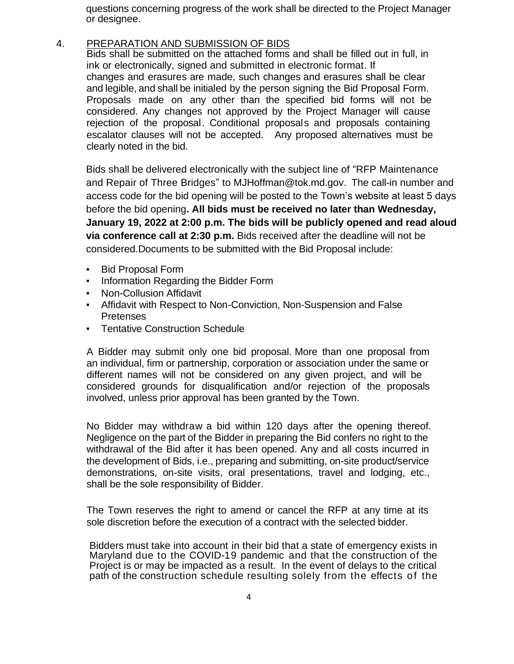questions concerning progress of the work shall be directed to the Project Manager or designee.

4. PREPARATION AND SUBMISSION OF BIDS

Bids shall be submitted on the attached forms and shall be filled out in full, in ink or electronically, signed and submitted in electronic format. If changes and erasures are made, such changes and erasures shall be clear and legible, and shall be initialed by the person signing the Bid Proposal Form. Proposals made on any other than the specified bid forms will not be considered. Any changes not approved by the Project Manager will cause rejection of the proposal. Conditional proposals and proposals containing escalator clauses will not be accepted. Any proposed alternatives must be clearly noted in the bid.

Bids shall be delivered electronically with the subject line of "RFP Maintenance and Repair of Three Bridges" to MJHoffman@tok.md.gov. The call-in number and access code for the bid opening will be posted to the Town's website at least 5 days before the bid opening**. All bids must be received no later than Wednesday, January 19, 2022 at 2:00 p.m. The bids will be publicly opened and read aloud via conference call at 2:30 p.m.** Bids received after the deadline will not be considered.Documents to be submitted with the Bid Proposal include:

- Bid Proposal Form
- Information Regarding the Bidder Form
- **Non-Collusion Affidavit**
- Affidavit with Respect to Non-Conviction, Non-Suspension and False Pretenses
- **Tentative Construction Schedule**

A Bidder may submit only one bid proposal. More than one proposal from an individual, firm or partnership, corporation or association under the same or different names will not be considered on any given project, and will be considered grounds for disqualification and/or rejection of the proposals involved, unless prior approval has been granted by the Town.

No Bidder may withdraw a bid within 120 days after the opening thereof. Negligence on the part of the Bidder in preparing the Bid confers no right to the withdrawal of the Bid after it has been opened. Any and all costs incurred in the development of Bids, i.e., preparing and submitting, on-site product/service demonstrations, on-site visits, oral presentations, travel and lodging, etc., shall be the sole responsibility of Bidder.

The Town reserves the right to amend or cancel the RFP at any time at its sole discretion before the execution of a contract with the selected bidder.

Bidders must take into account in their bid that a state of emergency exists in Maryland due to the COVID-19 pandemic and that the construction of the Project is or may be impacted as a result. In the event of delays to the critical path of the construction schedule resulting solely from the effects of the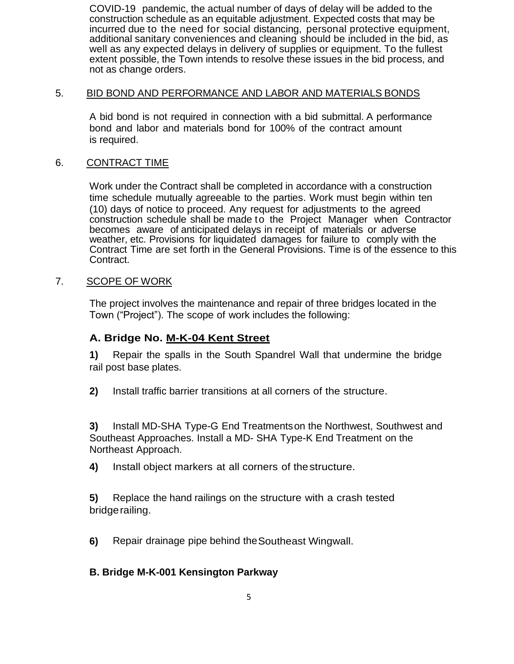COVID-19 pandemic, the actual number of days of delay will be added to the construction schedule as an equitable adjustment. Expected costs that may be incurred due to the need for social distancing, personal protective equipment, additional sanitary conveniences and cleaning should be included in the bid, as well as any expected delays in delivery of supplies or equipment. To the fullest extent possible, the Town intends to resolve these issues in the bid process, and not as change orders.

## 5. BID BOND AND PERFORMANCE AND LABOR AND MATERIALS BONDS

A bid bond is not required in connection with a bid submittal. A performance bond and labor and materials bond for 100% of the contract amount is required.

## 6. CONTRACT TIME

Work under the Contract shall be completed in accordance with a construction time schedule mutually agreeable to the parties. Work must begin within ten (10) days of notice to proceed. Any request for adjustments to the agreed construction schedule shall be made to the Project Manager when Contractor becomes aware of anticipated delays in receipt of materials or adverse weather, etc. Provisions for liquidated damages for failure to comply with the Contract Time are set forth in the General Provisions. Time is of the essence to this Contract.

# 7. SCOPE OF WORK

The project involves the maintenance and repair of three bridges located in the Town ("Project"). The scope of work includes the following:

# **A. Bridge No. M-K-04 Kent Street**

**1)** Repair the spalls in the South Spandrel Wall that undermine the bridge rail post base plates.

**2)** Install traffic barrier transitions at all corners of the structure.

**3)** Install MD-SHA Type-G End Treatmentson the Northwest, Southwest and Southeast Approaches. Install a MD- SHA Type-K End Treatment on the Northeast Approach.

**4)** Install object markers at all corners of thestructure.

**5)** Replace the hand railings on the structure with a crash tested bridgerailing.

**6)** Repair drainage pipe behind theSoutheast Wingwall.

# **B. Bridge M-K-001 Kensington Parkway**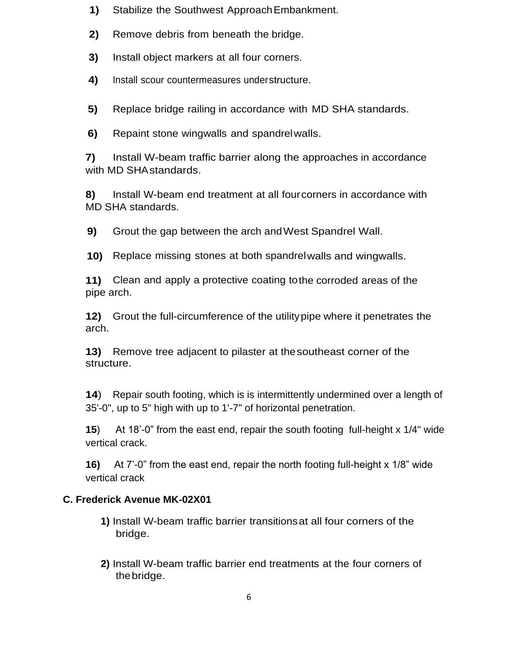- **1)** Stabilize the Southwest ApproachEmbankment.
- **2)** Remove debris from beneath the bridge.
- **3)** Install object markers at all four corners.
- **4)** Install scour countermeasures understructure.
- **5)** Replace bridge railing in accordance with MD SHA standards.
- **6)** Repaint stone wingwalls and spandrelwalls.

**7)** Install W-beam traffic barrier along the approaches in accordance with MD SHAstandards.

**8)** Install W-beam end treatment at all fourcorners in accordance with MD SHA standards.

**9)** Grout the gap between the arch andWest Spandrel Wall.

**10)** Replace missing stones at both spandrelwalls and wingwalls.

**11)** Clean and apply a protective coating tothe corroded areas of the pipe arch.

**12)** Grout the full-circumference of the utilitypipe where it penetrates the arch.

**13)** Remove tree adjacent to pilaster at thesoutheast corner of the structure.

**14**) Repair south footing, which is is intermittently undermined over a length of 35'-0", up to 5" high with up to 1'-7" of horizontal penetration.

**15**) At 18'-0" from the east end, repair the south footing full-height x 1/4" wide vertical crack.

**16)** At 7'-0" from the east end, repair the north footing full-height x 1/8" wide vertical crack

# **C. Frederick Avenue MK-02X01**

- **1)** Install W-beam traffic barrier transitionsat all four corners of the bridge.
- **2)** Install W-beam traffic barrier end treatments at the four corners of thebridge.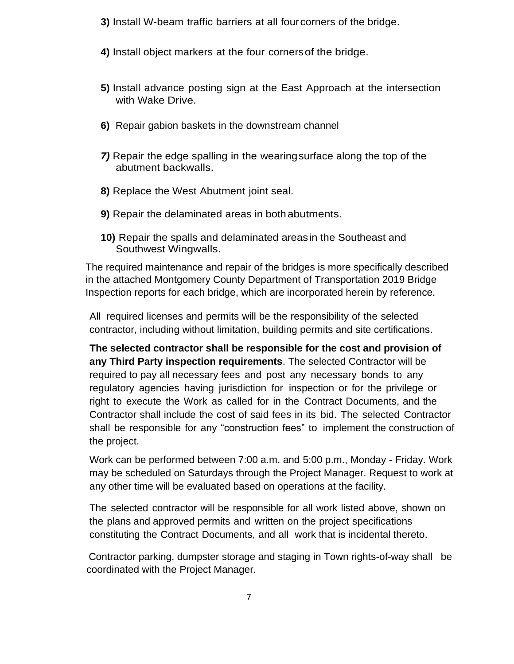- **3)** Install W-beam traffic barriers at all fourcorners of the bridge.
- **4)** Install object markers at the four cornersof the bridge.
- **5)** Install advance posting sign at the East Approach at the intersection with Wake Drive.
- **6)** Repair gabion baskets in the downstream channel
- *7)* Repair the edge spalling in the wearingsurface along the top of the abutment backwalls.
- **8)** Replace the West Abutment joint seal.
- **9)** Repair the delaminated areas in bothabutments.
- **10)** Repair the spalls and delaminated areasin the Southeast and Southwest Wingwalls.

The required maintenance and repair of the bridges is more specifically described in the attached Montgomery County Department of Transportation 2019 Bridge Inspection reports for each bridge, which are incorporated herein by reference.

All required licenses and permits will be the responsibility of the selected contractor, including without limitation, building permits and site certifications.

**The selected contractor shall be responsible for the cost and provision of any Third Party inspection requirements**. The selected Contractor will be required to pay all necessary fees and post any necessary bonds to any regulatory agencies having jurisdiction for inspection or for the privilege or right to execute the Work as called for in the Contract Documents, and the Contractor shall include the cost of said fees in its bid. The selected Contractor shall be responsible for any "construction fees" to implement the construction of the project.

Work can be performed between 7:00 a.m. and 5:00 p.m., Monday - Friday. Work may be scheduled on Saturdays through the Project Manager. Request to work at any other time will be evaluated based on operations at the facility.

The selected contractor will be responsible for all work listed above, shown on the plans and approved permits and written on the project specifications constituting the Contract Documents, and all work that is incidental thereto.

Contractor parking, dumpster storage and staging in Town rights-of-way shall be coordinated with the Project Manager.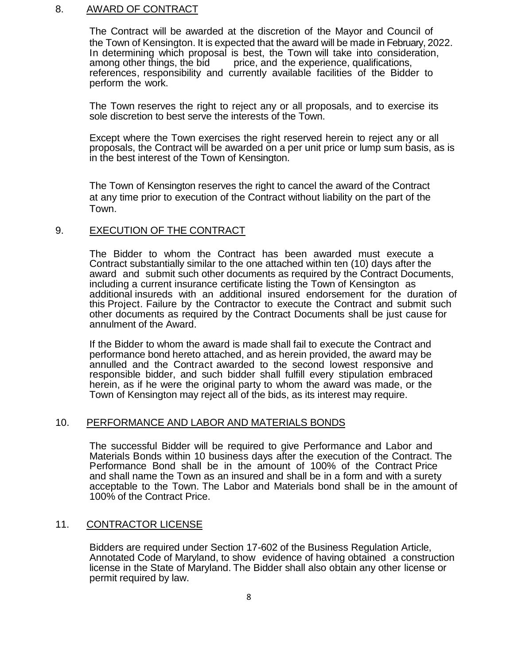## 8. AWARD OF CONTRACT

The Contract will be awarded at the discretion of the Mayor and Council of the Town of Kensington. It is expected that the award will be made in February, 2022. In determining which proposal is best, the Town will take into consideration, among other things, the bid price, and the experience, qualifications. price, and the experience, qualifications, references, responsibility and currently available facilities of the Bidder to perform the work.

The Town reserves the right to reject any or all proposals, and to exercise its sole discretion to best serve the interests of the Town.

Except where the Town exercises the right reserved herein to reject any or all proposals, the Contract will be awarded on a per unit price or lump sum basis, as is in the best interest of the Town of Kensington.

The Town of Kensington reserves the right to cancel the award of the Contract at any time prior to execution of the Contract without liability on the part of the Town.

## 9. EXECUTION OF THE CONTRACT

The Bidder to whom the Contract has been awarded must execute a Contract substantially similar to the one attached within ten (10) days after the award and submit such other documents as required by the Contract Documents, including a current insurance certificate listing the Town of Kensington as additional insureds with an additional insured endorsement for the duration of this Project. Failure by the Contractor to execute the Contract and submit such other documents as required by the Contract Documents shall be just cause for annulment of the Award.

If the Bidder to whom the award is made shall fail to execute the Contract and performance bond hereto attached, and as herein provided, the award may be annulled and the Contract awarded to the second lowest responsive and responsible bidder, and such bidder shall fulfill every stipulation embraced herein, as if he were the original party to whom the award was made, or the Town of Kensington may reject all of the bids, as its interest may require.

## 10. PERFORMANCE AND LABOR AND MATERIALS BONDS

The successful Bidder will be required to give Performance and Labor and Materials Bonds within 10 business days after the execution of the Contract. The Performance Bond shall be in the amount of 100% of the Contract Price and shall name the Town as an insured and shall be in a form and with a surety acceptable to the Town. The Labor and Materials bond shall be in the amount of 100% of the Contract Price.

## 11. CONTRACTOR LICENSE

Bidders are required under Section 17-602 of the Business Regulation Article, Annotated Code of Maryland, to show evidence of having obtained a construction license in the State of Maryland. The Bidder shall also obtain any other license or permit required by law.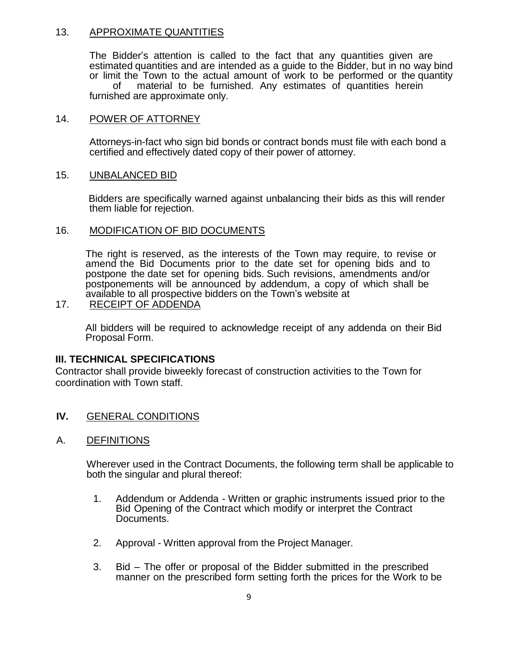## 13. APPROXIMATE QUANTITIES

The Bidder's attention is called to the fact that any quantities given are estimated quantities and are intended as a guide to the Bidder, but in no way bind or limit the Town to the actual amount of work to be performed or the quantity of material to be furnished. Any estimates of quantities herein furnished are approximate only.

## 14. POWER OF ATTORNEY

Attorneys-in-fact who sign bid bonds or contract bonds must file with each bond a certified and effectively dated copy of their power of attorney.

## 15. UNBALANCED BID

Bidders are specifically warned against unbalancing their bids as this will render them liable for rejection.

## 16. MODIFICATION OF BID DOCUMENTS

The right is reserved, as the interests of the Town may require, to revise or amend the Bid Documents prior to the date set for opening bids and to postpone the date set for opening bids. Such revisions, amendments and/or postponements will be announced by addendum, a copy of which shall be available to all prospective bidders on the Town's website at

## 17. RECEIPT OF ADDENDA

All bidders will be required to acknowledge receipt of any addenda on their Bid Proposal Form.

## **III. TECHNICAL SPECIFICATIONS**

Contractor shall provide biweekly forecast of construction activities to the Town for coordination with Town staff.

- **IV.** GENERAL CONDITIONS
- A. DEFINITIONS

Wherever used in the Contract Documents, the following term shall be applicable to both the singular and plural thereof:

- 1. Addendum or Addenda Written or graphic instruments issued prior to the Bid Opening of the Contract which modify or interpret the Contract Documents.
- 2. Approval Written approval from the Project Manager.
- 3. Bid The offer or proposal of the Bidder submitted in the prescribed manner on the prescribed form setting forth the prices for the Work to be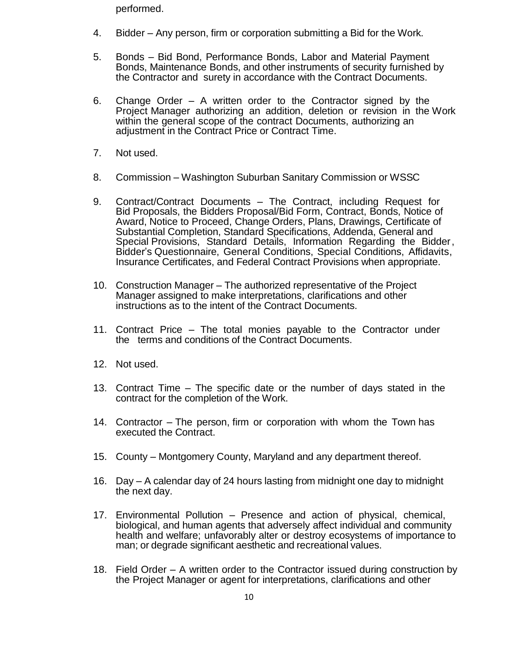performed.

- 4. Bidder Any person, firm or corporation submitting a Bid for the Work.
- 5. Bonds Bid Bond, Performance Bonds, Labor and Material Payment Bonds, Maintenance Bonds, and other instruments of security furnished by the Contractor and surety in accordance with the Contract Documents.
- 6. Change Order A written order to the Contractor signed by the Project Manager authorizing an addition, deletion or revision in the Work within the general scope of the contract Documents, authorizing an adjustment in the Contract Price or Contract Time.
- 7. Not used.
- 8. Commission Washington Suburban Sanitary Commission or WSSC
- 9. Contract/Contract Documents The Contract, including Request for Bid Proposals, the Bidders Proposal/Bid Form, Contract, Bonds, Notice of Award, Notice to Proceed, Change Orders, Plans, Drawings, Certificate of Substantial Completion, Standard Specifications, Addenda, General and Special Provisions, Standard Details, Information Regarding the Bidder, Bidder's Questionnaire, General Conditions, Special Conditions, Affidavits, Insurance Certificates, and Federal Contract Provisions when appropriate.
- 10. Construction Manager The authorized representative of the Project Manager assigned to make interpretations, clarifications and other instructions as to the intent of the Contract Documents.
- 11. Contract Price The total monies payable to the Contractor under the terms and conditions of the Contract Documents.
- 12. Not used.
- 13. Contract Time The specific date or the number of days stated in the contract for the completion of the Work.
- 14. Contractor The person, firm or corporation with whom the Town has executed the Contract.
- 15. County Montgomery County, Maryland and any department thereof.
- 16. Day A calendar day of 24 hours lasting from midnight one day to midnight the next day.
- 17. Environmental Pollution Presence and action of physical, chemical, biological, and human agents that adversely affect individual and community health and welfare; unfavorably alter or destroy ecosystems of importance to man; or degrade significant aesthetic and recreational values.
- 18. Field Order A written order to the Contractor issued during construction by the Project Manager or agent for interpretations, clarifications and other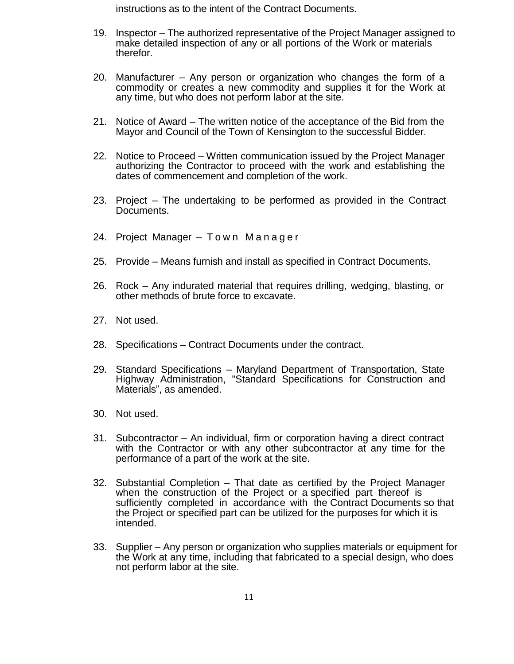instructions as to the intent of the Contract Documents.

- 19. Inspector The authorized representative of the Project Manager assigned to make detailed inspection of any or all portions of the Work or materials therefor.
- 20. Manufacturer Any person or organization who changes the form of a commodity or creates a new commodity and supplies it for the Work at any time, but who does not perform labor at the site.
- 21. Notice of Award The written notice of the acceptance of the Bid from the Mayor and Council of the Town of Kensington to the successful Bidder.
- 22. Notice to Proceed Written communication issued by the Project Manager authorizing the Contractor to proceed with the work and establishing the dates of commencement and completion of the work.
- 23. Project The undertaking to be performed as provided in the Contract Documents.
- 24. Project Manager Town Manager
- 25. Provide Means furnish and install as specified in Contract Documents.
- 26. Rock Any indurated material that requires drilling, wedging, blasting, or other methods of brute force to excavate.
- 27. Not used.
- 28. Specifications Contract Documents under the contract.
- 29. Standard Specifications Maryland Department of Transportation, State Highway Administration, "Standard Specifications for Construction and Materials", as amended.
- 30. Not used.
- 31. Subcontractor An individual, firm or corporation having a direct contract with the Contractor or with any other subcontractor at any time for the performance of a part of the work at the site.
- 32. Substantial Completion That date as certified by the Project Manager when the construction of the Project or a specified part thereof is sufficiently completed in accordance with the Contract Documents so that the Project or specified part can be utilized for the purposes for which it is intended.
- 33. Supplier Any person or organization who supplies materials or equipment for the Work at any time, including that fabricated to a special design, who does not perform labor at the site.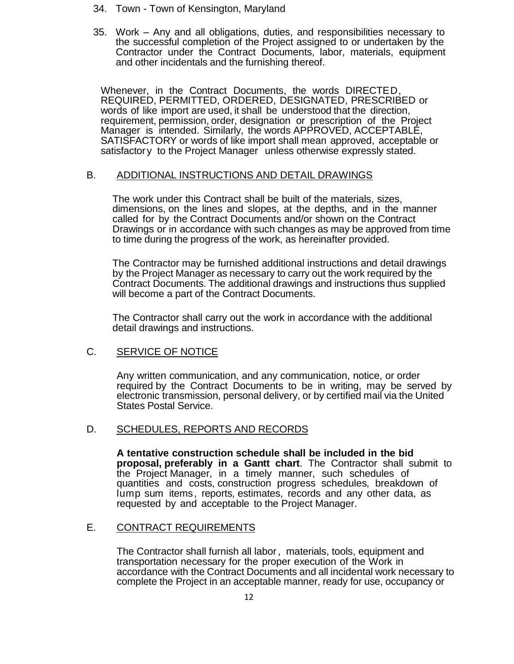- 34. Town Town of Kensington, Maryland
- 35. Work Any and all obligations, duties, and responsibilities necessary to the successful completion of the Project assigned to or undertaken by the Contractor under the Contract Documents, labor, materials, equipment and other incidentals and the furnishing thereof.

Whenever, in the Contract Documents, the words DIRECTED, REQUIRED, PERMITTED, ORDERED, DESIGNATED, PRESCRIBED or words of like import are used, it shall be understood that the direction, requirement, permission, order, designation or prescription of the Project Manager is intended. Similarly, the words APPROVED, ACCEPTABLE, SATISFACTORY or words of like import shall mean approved, acceptable or satisfactory to the Project Manager unless otherwise expressly stated.

## B. ADDITIONAL INSTRUCTIONS AND DETAIL DRAWINGS

The work under this Contract shall be built of the materials, sizes, dimensions, on the lines and slopes, at the depths, and in the manner called for by the Contract Documents and/or shown on the Contract Drawings or in accordance with such changes as may be approved from time to time during the progress of the work, as hereinafter provided.

The Contractor may be furnished additional instructions and detail drawings by the Project Manager as necessary to carry out the work required by the Contract Documents. The additional drawings and instructions thus supplied will become a part of the Contract Documents.

The Contractor shall carry out the work in accordance with the additional detail drawings and instructions.

# C. SERVICE OF NOTICE

Any written communication, and any communication, notice, or order required by the Contract Documents to be in writing, may be served by electronic transmission, personal delivery, or by certified mail via the United States Postal Service.

## D. SCHEDULES, REPORTS AND RECORDS

**A tentative construction schedule shall be included in the bid proposal, preferably in a Gantt chart**. The Contractor shall submit to the Project Manager, in a timely manner, such schedules of quantities and costs, construction progress schedules, breakdown of lump sum items, reports, estimates, records and any other data, as requested by and acceptable to the Project Manager.

## E. CONTRACT REQUIREMENTS

The Contractor shall furnish all labor, materials, tools, equipment and transportation necessary for the proper execution of the Work in accordance with the Contract Documents and all incidental work necessary to complete the Project in an acceptable manner, ready for use, occupancy or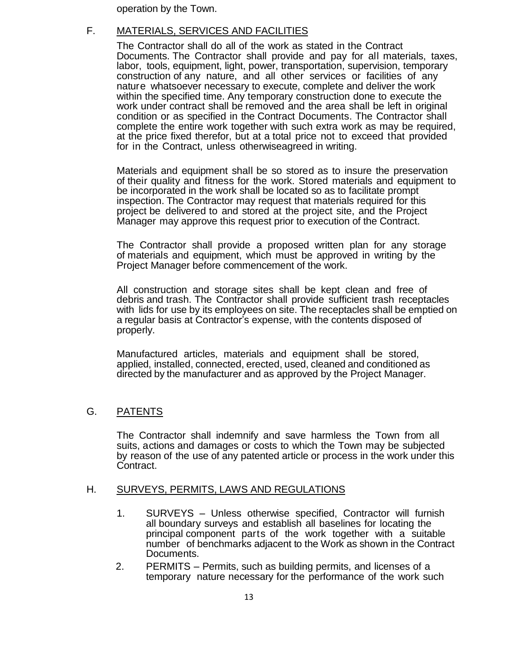operation by the Town.

# F. MATERIALS, SERVICES AND FACILITIES

The Contractor shall do all of the work as stated in the Contract Documents. The Contractor shall provide and pay for all materials, taxes, labor, tools, equipment, light, power, transportation, supervision, temporary construction of any nature, and all other services or facilities of any nature whatsoever necessary to execute, complete and deliver the work within the specified time. Any temporary construction done to execute the work under contract shall be removed and the area shall be left in original condition or as specified in the Contract Documents. The Contractor shall complete the entire work together with such extra work as may be required, at the price fixed therefor, but at a total price not to exceed that provided for in the Contract, unless otherwiseagreed in writing.

Materials and equipment shall be so stored as to insure the preservation of their quality and fitness for the work. Stored materials and equipment to be incorporated in the work shall be located so as to facilitate prompt inspection. The Contractor may request that materials required for this project be delivered to and stored at the project site, and the Project Manager may approve this request prior to execution of the Contract.

The Contractor shall provide a proposed written plan for any storage of materials and equipment, which must be approved in writing by the Project Manager before commencement of the work.

All construction and storage sites shall be kept clean and free of debris and trash. The Contractor shall provide sufficient trash receptacles with lids for use by its employees on site. The receptacles shall be emptied on a regular basis at Contractor's expense, with the contents disposed of properly.

Manufactured articles, materials and equipment shall be stored, applied, installed, connected, erected, used, cleaned and conditioned as directed by the manufacturer and as approved by the Project Manager.

## G. PATENTS

The Contractor shall indemnify and save harmless the Town from all suits, actions and damages or costs to which the Town may be subjected by reason of the use of any patented article or process in the work under this Contract.

## H. SURVEYS, PERMITS, LAWS AND REGULATIONS

- 1. SURVEYS Unless otherwise specified, Contractor will furnish all boundary surveys and establish all baselines for locating the principal component parts of the work together with a suitable number of benchmarks adjacent to the Work as shown in the Contract Documents.
- 2. PERMITS Permits, such as building permits, and licenses of a temporary nature necessary for the performance of the work such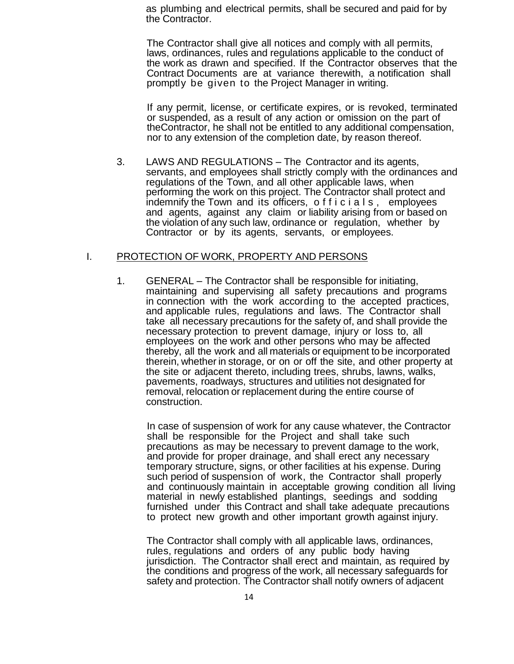as plumbing and electrical permits, shall be secured and paid for by the Contractor.

The Contractor shall give all notices and comply with all permits, laws, ordinances, rules and regulations applicable to the conduct of the work as drawn and specified. If the Contractor observes that the Contract Documents are at variance therewith, a notification shall promptly be given to the Project Manager in writing.

If any permit, license, or certificate expires, or is revoked, terminated or suspended, as a result of any action or omission on the part of theContractor, he shall not be entitled to any additional compensation, nor to any extension of the completion date, by reason thereof.

3. LAWS AND REGULATIONS – The Contractor and its agents, servants, and employees shall strictly comply with the ordinances and regulations of the Town, and all other applicable laws, when performing the work on this project. The Contractor shall protect and indemnify the Town and its officers, officials, employees and agents, against any claim or liability arising from or based on the violation of any such law, ordinance or regulation, whether by Contractor or by its agents, servants, or employees.

### I. PROTECTION OF WORK, PROPERTY AND PERSONS

1. GENERAL – The Contractor shall be responsible for initiating, maintaining and supervising all safety precautions and programs in connection with the work according to the accepted practices, and applicable rules, regulations and laws. The Contractor shall take all necessary precautions for the safety of, and shall provide the necessary protection to prevent damage, injury or loss to, all employees on the work and other persons who may be affected thereby, all the work and all materials or equipment to be incorporated therein, whether in storage, or on or off the site, and other property at the site or adjacent thereto, including trees, shrubs, lawns, walks, pavements, roadways, structures and utilities not designated for removal, relocation or replacement during the entire course of construction.

In case of suspension of work for any cause whatever, the Contractor shall be responsible for the Project and shall take such precautions as may be necessary to prevent damage to the work, and provide for proper drainage, and shall erect any necessary temporary structure, signs, or other facilities at his expense. During such period of suspension of work, the Contractor shall properly and continuously maintain in acceptable growing condition all living material in newly established plantings, seedings and sodding furnished under this Contract and shall take adequate precautions to protect new growth and other important growth against injury.

The Contractor shall comply with all applicable laws, ordinances, rules, regulations and orders of any public body having jurisdiction. The Contractor shall erect and maintain, as required by the conditions and progress of the work, all necessary safeguards for safety and protection. The Contractor shall notify owners of adjacent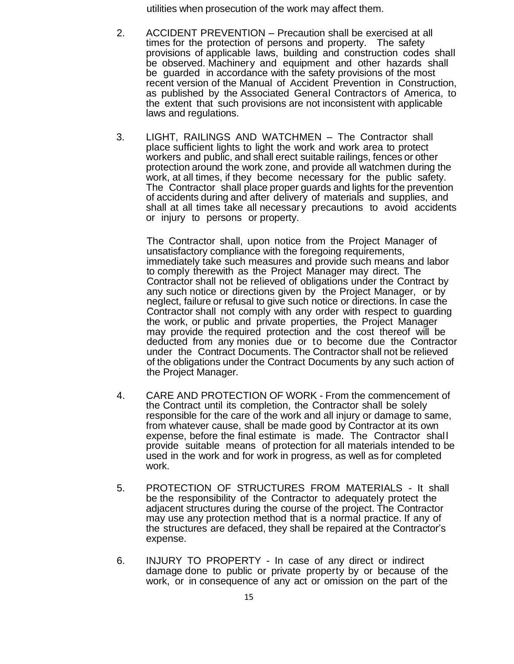utilities when prosecution of the work may affect them.

- 2. ACCIDENT PREVENTION Precaution shall be exercised at all times for the protection of persons and property. The safety provisions of applicable laws, building and construction codes shall be observed. Machinery and equipment and other hazards shall be guarded in accordance with the safety provisions of the most recent version of the Manual of Accident Prevention in Construction, as published by the Associated General Contractors of America, to the extent that such provisions are not inconsistent with applicable laws and regulations.
- 3. LIGHT, RAILINGS AND WATCHMEN The Contractor shall place sufficient lights to light the work and work area to protect workers and public, and shall erect suitable railings, fences or other protection around the work zone, and provide all watchmen during the work, at all times, if they become necessary for the public safety. The Contractor shall place proper guards and lights for the prevention of accidents during and after delivery of materials and supplies, and shall at all times take all necessary precautions to avoid accidents or injury to persons or property.

The Contractor shall, upon notice from the Project Manager of unsatisfactory compliance with the foregoing requirements, immediately take such measures and provide such means and labor to comply therewith as the Project Manager may direct. The Contractor shall not be relieved of obligations under the Contract by any such notice or directions given by the Project Manager, or by neglect, failure or refusal to give such notice or directions. In case the Contractor shall not comply with any order with respect to guarding the work, or public and private properties, the Project Manager may provide the required protection and the cost thereof will be deducted from any monies due or to become due the Contractor under the Contract Documents. The Contractor shall not be relieved of the obligations under the Contract Documents by any such action of the Project Manager.

- 4. CARE AND PROTECTION OF WORK From the commencement of the Contract until its completion, the Contractor shall be solely responsible for the care of the work and all injury or damage to same, from whatever cause, shall be made good by Contractor at its own expense, before the final estimate is made. The Contractor shall provide suitable means of protection for all materials intended to be used in the work and for work in progress, as well as for completed work.
- 5. PROTECTION OF STRUCTURES FROM MATERIALS It shall be the responsibility of the Contractor to adequately protect the adjacent structures during the course of the project. The Contractor may use any protection method that is a normal practice. If any of the structures are defaced, they shall be repaired at the Contractor's expense.
- 6. INJURY TO PROPERTY In case of any direct or indirect damage done to public or private property by or because of the work, or in consequence of any act or omission on the part of the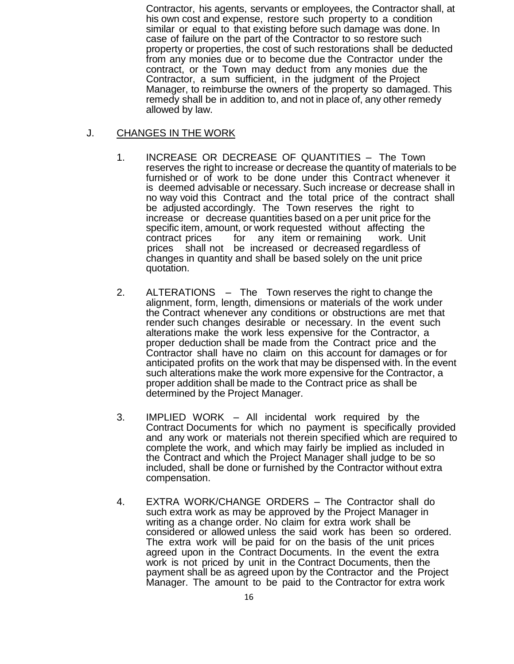Contractor, his agents, servants or employees, the Contractor shall, at his own cost and expense, restore such property to a condition similar or equal to that existing before such damage was done. In case of failure on the part of the Contractor to so restore such property or properties, the cost of such restorations shall be deducted from any monies due or to become due the Contractor under the contract, or the Town may deduct from any monies due the Contractor, a sum sufficient, in the judgment of the Project Manager, to reimburse the owners of the property so damaged. This remedy shall be in addition to, and not in place of, any other remedy allowed by law.

## J. CHANGES IN THE WORK

- 1. INCREASE OR DECREASE OF QUANTITIES The Town reserves the right to increase or decrease the quantity of materials to be furnished or of work to be done under this Contract whenever it is deemed advisable or necessary. Such increase or decrease shall in no way void this Contract and the total price of the contract shall be adjusted accordingly. The Town reserves the right to increase or decrease quantities based on a per unit price for the specific item, amount, or work requested without affecting the contract prices for any item or remaining work. Unit prices shall not be increased or decreased regardless of changes in quantity and shall be based solely on the unit price quotation.
- 2. ALTERATIONS The Town reserves the right to change the alignment, form, length, dimensions or materials of the work under the Contract whenever any conditions or obstructions are met that render such changes desirable or necessary. In the event such alterations make the work less expensive for the Contractor, a proper deduction shall be made from the Contract price and the Contractor shall have no claim on this account for damages or for anticipated profits on the work that may be dispensed with. In the event such alterations make the work more expensive for the Contractor, a proper addition shall be made to the Contract price as shall be determined by the Project Manager.
- 3. IMPLIED WORK All incidental work required by the Contract Documents for which no payment is specifically provided and any work or materials not therein specified which are required to complete the work, and which may fairly be implied as included in the Contract and which the Project Manager shall judge to be so included, shall be done or furnished by the Contractor without extra compensation.
- 4. EXTRA WORK/CHANGE ORDERS The Contractor shall do such extra work as may be approved by the Project Manager in writing as a change order. No claim for extra work shall be considered or allowed unless the said work has been so ordered. The extra work will be paid for on the basis of the unit prices agreed upon in the Contract Documents. In the event the extra work is not priced by unit in the Contract Documents, then the payment shall be as agreed upon by the Contractor and the Project Manager. The amount to be paid to the Contractor for extra work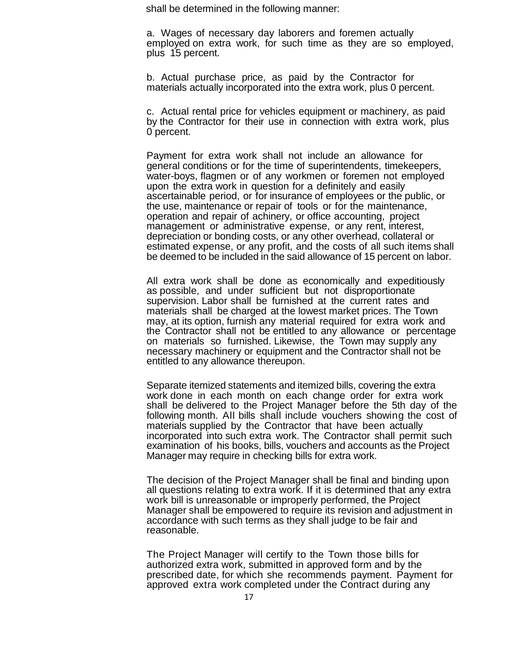shall be determined in the following manner:

a. Wages of necessary day laborers and foremen actually employed on extra work, for such time as they are so employed, plus 15 percent.

b. Actual purchase price, as paid by the Contractor for materials actually incorporated into the extra work, plus 0 percent.

c. Actual rental price for vehicles equipment or machinery, as paid by the Contractor for their use in connection with extra work, plus 0 percent.

Payment for extra work shall not include an allowance for general conditions or for the time of superintendents, timekeepers, water-boys, flagmen or of any workmen or foremen not employed upon the extra work in question for a definitely and easily ascertainable period, or for insurance of employees or the public, or the use, maintenance or repair of tools or for the maintenance, operation and repair of achinery, or office accounting, project management or administrative expense, or any rent, interest, depreciation or bonding costs, or any other overhead, collateral or estimated expense, or any profit, and the costs of all such items shall be deemed to be included in the said allowance of 15 percent on labor.

All extra work shall be done as economically and expeditiously as possible, and under sufficient but not disproportionate supervision. Labor shall be furnished at the current rates and materials shall be charged at the lowest market prices. The Town may, at its option, furnish any material required for extra work and the Contractor shall not be entitled to any allowance or percentage on materials so furnished. Likewise, the Town may supply any necessary machinery or equipment and the Contractor shall not be entitled to any allowance thereupon.

Separate itemized statements and itemized bills, covering the extra work done in each month on each change order for extra work shall be delivered to the Project Manager before the 5th day of the following month. All bills shall include vouchers showing the cost of materials supplied by the Contractor that have been actually incorporated into such extra work. The Contractor shall permit such examination of his books, bills, vouchers and accounts as the Project Manager may require in checking bills for extra work.

The decision of the Project Manager shall be final and binding upon all questions relating to extra work. If it is determined that any extra work bill is unreasonable or improperly performed, the Project Manager shall be empowered to require its revision and adjustment in accordance with such terms as they shall judge to be fair and reasonable.

The Project Manager will certify to the Town those bills for authorized extra work, submitted in approved form and by the prescribed date, for which she recommends payment. Payment for approved extra work completed under the Contract during any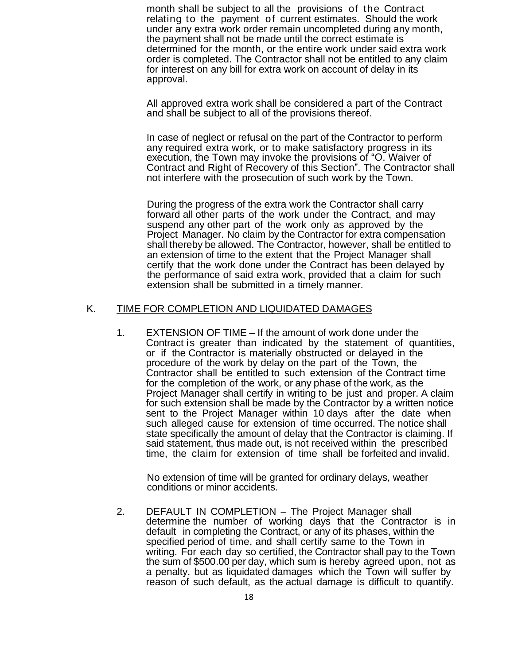month shall be subject to all the provisions of the Contract relating to the payment of current estimates. Should the work under any extra work order remain uncompleted during any month, the payment shall not be made until the correct estimate is determined for the month, or the entire work under said extra work order is completed. The Contractor shall not be entitled to any claim for interest on any bill for extra work on account of delay in its approval.

All approved extra work shall be considered a part of the Contract and shall be subject to all of the provisions thereof.

In case of neglect or refusal on the part of the Contractor to perform any required extra work, or to make satisfactory progress in its execution, the Town may invoke the provisions of "O. Waiver of Contract and Right of Recovery of this Section". The Contractor shall not interfere with the prosecution of such work by the Town.

During the progress of the extra work the Contractor shall carry forward all other parts of the work under the Contract, and may suspend any other part of the work only as approved by the Project Manager. No claim by the Contractor for extra compensation shall thereby be allowed. The Contractor, however, shall be entitled to an extension of time to the extent that the Project Manager shall certify that the work done under the Contract has been delayed by the performance of said extra work, provided that a claim for such extension shall be submitted in a timely manner.

### K. TIME FOR COMPLETION AND LIQUIDATED DAMAGES

1. EXTENSION OF TIME – If the amount of work done under the Contract is greater than indicated by the statement of quantities, or if the Contractor is materially obstructed or delayed in the procedure of the work by delay on the part of the Town, the Contractor shall be entitled to such extension of the Contract time for the completion of the work, or any phase of the work, as the Project Manager shall certify in writing to be just and proper. A claim for such extension shall be made by the Contractor by a written notice sent to the Project Manager within 10 days after the date when such alleged cause for extension of time occurred. The notice shall state specifically the amount of delay that the Contractor is claiming. If said statement, thus made out, is not received within the prescribed time, the claim for extension of time shall be forfeited and invalid.

No extension of time will be granted for ordinary delays, weather conditions or minor accidents.

2. DEFAULT IN COMPLETION – The Project Manager shall determine the number of working days that the Contractor is in default in completing the Contract, or any of its phases, within the specified period of time, and shall certify same to the Town in writing. For each day so certified, the Contractor shall pay to the Town the sum of \$500.00 per day, which sum is hereby agreed upon, not as a penalty, but as liquidated damages which the Town will suffer by reason of such default, as the actual damage is difficult to quantify.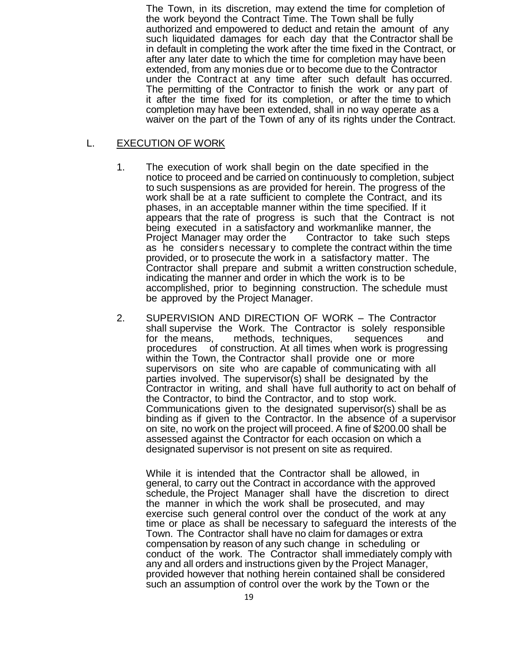The Town, in its discretion, may extend the time for completion of the work beyond the Contract Time. The Town shall be fully authorized and empowered to deduct and retain the amount of any such liquidated damages for each day that the Contractor shall be in default in completing the work after the time fixed in the Contract, or after any later date to which the time for completion may have been extended, from any monies due or to become due to the Contractor under the Contract at any time after such default has occurred. The permitting of the Contractor to finish the work or any part of it after the time fixed for its completion, or after the time to which completion may have been extended, shall in no way operate as a waiver on the part of the Town of any of its rights under the Contract.

### L. EXECUTION OF WORK

- 1. The execution of work shall begin on the date specified in the notice to proceed and be carried on continuously to completion, subject to such suspensions as are provided for herein. The progress of the work shall be at a rate sufficient to complete the Contract, and its phases, in an acceptable manner within the time specified. If it appears that the rate of progress is such that the Contract is not being executed in a satisfactory and workmanlike manner, the Project Manager may order the Contractor to take such steps as he considers necessary to complete the contract within the time provided, or to prosecute the work in a satisfactory matter. The Contractor shall prepare and submit a written construction schedule, indicating the manner and order in which the work is to be accomplished, prior to beginning construction. The schedule must be approved by the Project Manager.
- 2. SUPERVISION AND DIRECTION OF WORK The Contractor shall supervise the Work. The Contractor is solely responsible for the means, methods, techniques, sequences and procedures of construction. At all times when work is progressing within the Town, the Contractor shall provide one or more supervisors on site who are capable of communicating with all parties involved. The supervisor(s) shall be designated by the Contractor in writing, and shall have full authority to act on behalf of the Contractor, to bind the Contractor, and to stop work. Communications given to the designated supervisor(s) shall be as binding as if given to the Contractor. In the absence of a supervisor on site, no work on the project will proceed. A fine of \$200.00 shall be assessed against the Contractor for each occasion on which a designated supervisor is not present on site as required.

While it is intended that the Contractor shall be allowed, in general, to carry out the Contract in accordance with the approved schedule, the Project Manager shall have the discretion to direct the manner in which the work shall be prosecuted, and may exercise such general control over the conduct of the work at any time or place as shall be necessary to safeguard the interests of the Town. The Contractor shall have no claim for damages or extra compensation by reason of any such change in scheduling or conduct of the work. The Contractor shall immediately comply with any and all orders and instructions given by the Project Manager, provided however that nothing herein contained shall be considered such an assumption of control over the work by the Town or the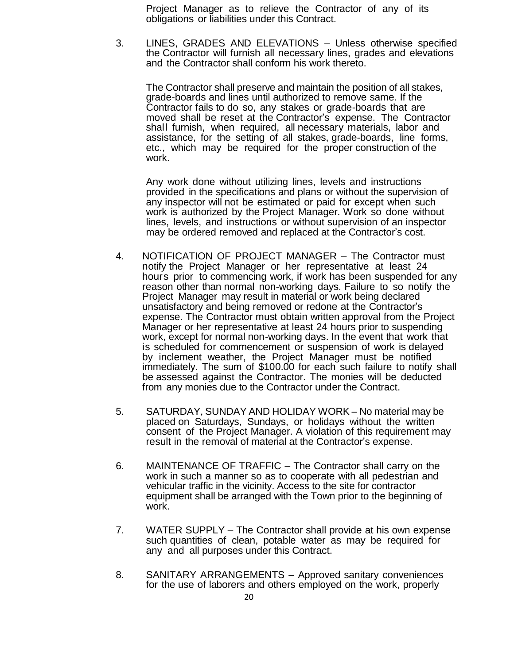Project Manager as to relieve the Contractor of any of its obligations or liabilities under this Contract.

3. LINES, GRADES AND ELEVATIONS – Unless otherwise specified the Contractor will furnish all necessary lines, grades and elevations and the Contractor shall conform his work thereto.

The Contractor shall preserve and maintain the position of all stakes, grade-boards and lines until authorized to remove same. If the Contractor fails to do so, any stakes or grade-boards that are moved shall be reset at the Contractor's expense. The Contractor shall furnish, when required, all necessary materials, labor and assistance, for the setting of all stakes, grade-boards, line forms, etc., which may be required for the proper construction of the work.

Any work done without utilizing lines, levels and instructions provided in the specifications and plans or without the supervision of any inspector will not be estimated or paid for except when such work is authorized by the Project Manager. Work so done without lines, levels, and instructions or without supervision of an inspector may be ordered removed and replaced at the Contractor's cost.

- 4. NOTIFICATION OF PROJECT MANAGER The Contractor must notify the Project Manager or her representative at least 24 hours prior to commencing work, if work has been suspended for any reason other than normal non-working days. Failure to so notify the Project Manager may result in material or work being declared unsatisfactory and being removed or redone at the Contractor's expense. The Contractor must obtain written approval from the Project Manager or her representative at least 24 hours prior to suspending work, except for normal non-working days. In the event that work that is scheduled for commencement or suspension of work is delayed by inclement weather, the Project Manager must be notified immediately. The sum of \$100.00 for each such failure to notify shall be assessed against the Contractor. The monies will be deducted from any monies due to the Contractor under the Contract.
- 5. SATURDAY, SUNDAY AND HOLIDAY WORK No material may be placed on Saturdays, Sundays, or holidays without the written consent of the Project Manager. A violation of this requirement may result in the removal of material at the Contractor's expense.
- 6. MAINTENANCE OF TRAFFIC The Contractor shall carry on the work in such a manner so as to cooperate with all pedestrian and vehicular traffic in the vicinity. Access to the site for contractor equipment shall be arranged with the Town prior to the beginning of work.
- 7. WATER SUPPLY The Contractor shall provide at his own expense such quantities of clean, potable water as may be required for any and all purposes under this Contract.
- 8. SANITARY ARRANGEMENTS Approved sanitary conveniences for the use of laborers and others employed on the work, properly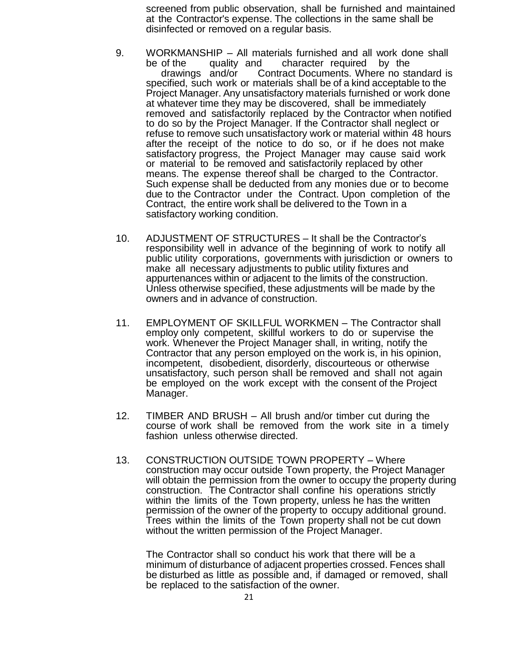screened from public observation, shall be furnished and maintained at the Contractor's expense. The collections in the same shall be disinfected or removed on a regular basis.

- 9. WORKMANSHIP All materials furnished and all work done shall be of the quality and character required by the drawings and/or Contract Documents. Where no standard is specified, such work or materials shall be of a kind acceptable to the Project Manager. Any unsatisfactory materials furnished or work done at whatever time they may be discovered, shall be immediately removed and satisfactorily replaced by the Contractor when notified to do so by the Project Manager. If the Contractor shall neglect or refuse to remove such unsatisfactory work or material within 48 hours after the receipt of the notice to do so, or if he does not make satisfactory progress, the Project Manager may cause said work or material to be removed and satisfactorily replaced by other means. The expense thereof shall be charged to the Contractor. Such expense shall be deducted from any monies due or to become due to the Contractor under the Contract. Upon completion of the Contract, the entire work shall be delivered to the Town in a satisfactory working condition.
- 10. ADJUSTMENT OF STRUCTURES It shall be the Contractor's responsibility well in advance of the beginning of work to notify all public utility corporations, governments with jurisdiction or owners to make all necessary adjustments to public utility fixtures and appurtenances within or adjacent to the limits of the construction. Unless otherwise specified, these adjustments will be made by the owners and in advance of construction.
- 11. EMPLOYMENT OF SKILLFUL WORKMEN The Contractor shall employ only competent, skillful workers to do or supervise the work. Whenever the Project Manager shall, in writing, notify the Contractor that any person employed on the work is, in his opinion, incompetent, disobedient, disorderly, discourteous or otherwise unsatisfactory, such person shall be removed and shall not again be employed on the work except with the consent of the Project Manager.
- 12. TIMBER AND BRUSH All brush and/or timber cut during the course of work shall be removed from the work site in a timely fashion unless otherwise directed.
- 13. CONSTRUCTION OUTSIDE TOWN PROPERTY Where construction may occur outside Town property, the Project Manager will obtain the permission from the owner to occupy the property during construction. The Contractor shall confine his operations strictly within the limits of the Town property, unless he has the written permission of the owner of the property to occupy additional ground. Trees within the limits of the Town property shall not be cut down without the written permission of the Project Manager.

The Contractor shall so conduct his work that there will be a minimum of disturbance of adjacent properties crossed. Fences shall be disturbed as little as possible and, if damaged or removed, shall be replaced to the satisfaction of the owner.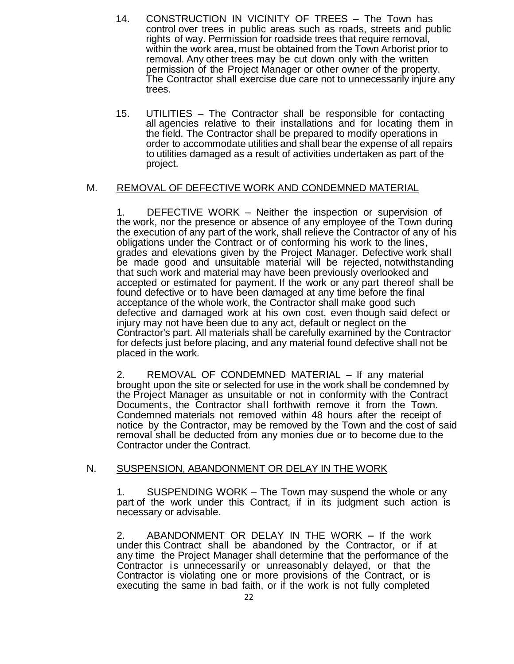- 14. CONSTRUCTION IN VICINITY OF TREES The Town has control over trees in public areas such as roads, streets and public rights of way. Permission for roadside trees that require removal, within the work area, must be obtained from the Town Arborist prior to removal. Any other trees may be cut down only with the written permission of the Project Manager or other owner of the property. The Contractor shall exercise due care not to unnecessarily injure any trees.
- 15. UTILITIES The Contractor shall be responsible for contacting all agencies relative to their installations and for locating them in the field. The Contractor shall be prepared to modify operations in order to accommodate utilities and shall bear the expense of all repairs to utilities damaged as a result of activities undertaken as part of the project.

## M. REMOVAL OF DEFECTIVE WORK AND CONDEMNED MATERIAL

1. DEFECTIVE WORK – Neither the inspection or supervision of the work, nor the presence or absence of any employee of the Town during the execution of any part of the work, shall relieve the Contractor of any of his obligations under the Contract or of conforming his work to the lines, grades and elevations given by the Project Manager. Defective work shall be made good and unsuitable material will be rejected, notwithstanding that such work and material may have been previously overlooked and accepted or estimated for payment. If the work or any part thereof shall be found defective or to have been damaged at any time before the final acceptance of the whole work, the Contractor shall make good such defective and damaged work at his own cost, even though said defect or injury may not have been due to any act, default or neglect on the Contractor's part. All materials shall be carefully examined by the Contractor for defects just before placing, and any material found defective shall not be placed in the work.

2. REMOVAL OF CONDEMNED MATERIAL – If any material brought upon the site or selected for use in the work shall be condemned by the Project Manager as unsuitable or not in conformity with the Contract Documents, the Contractor shall forthwith remove it from the Town. Condemned materials not removed within 48 hours after the receipt of notice by the Contractor, may be removed by the Town and the cost of said removal shall be deducted from any monies due or to become due to the Contractor under the Contract.

## N. SUSPENSION, ABANDONMENT OR DELAY IN THE WORK

1. SUSPENDING WORK – The Town may suspend the whole or any part of the work under this Contract, if in its judgment such action is necessary or advisable.

2. ABANDONMENT OR DELAY IN THE WORK **–** If the work under this Contract shall be abandoned by the Contractor, or if at any time the Project Manager shall determine that the performance of the Contractor is unnecessarily or unreasonably delayed, or that the Contractor is violating one or more provisions of the Contract, or is executing the same in bad faith, or if the work is not fully completed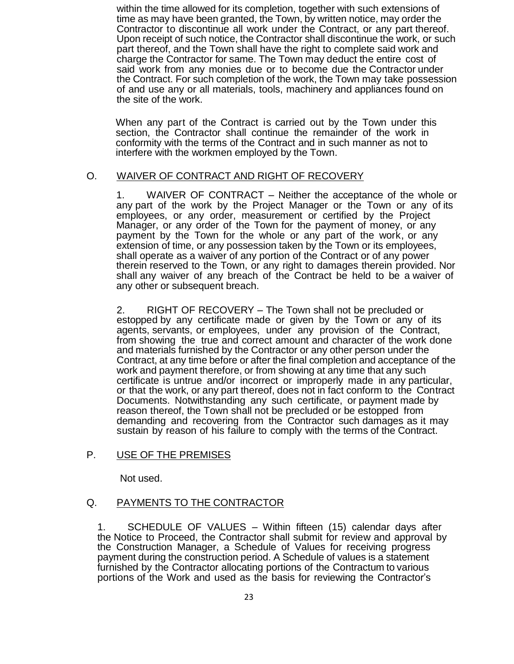within the time allowed for its completion, together with such extensions of time as may have been granted, the Town, by written notice, may order the Contractor to discontinue all work under the Contract, or any part thereof. Upon receipt of such notice, the Contractor shall discontinue the work, or such part thereof, and the Town shall have the right to complete said work and charge the Contractor for same. The Town may deduct the entire cost of said work from any monies due or to become due the Contractor under the Contract. For such completion of the work, the Town may take possession of and use any or all materials, tools, machinery and appliances found on the site of the work.

When any part of the Contract is carried out by the Town under this section, the Contractor shall continue the remainder of the work in conformity with the terms of the Contract and in such manner as not to interfere with the workmen employed by the Town.

## O. WAIVER OF CONTRACT AND RIGHT OF RECOVERY

1. WAIVER OF CONTRACT – Neither the acceptance of the whole or any part of the work by the Project Manager or the Town or any of its employees, or any order, measurement or certified by the Project Manager, or any order of the Town for the payment of money, or any payment by the Town for the whole or any part of the work, or any extension of time, or any possession taken by the Town or its employees, shall operate as a waiver of any portion of the Contract or of any power therein reserved to the Town, or any right to damages therein provided. Nor shall any waiver of any breach of the Contract be held to be a waiver of any other or subsequent breach.

2. RIGHT OF RECOVERY – The Town shall not be precluded or estopped by any certificate made or given by the Town or any of its agents, servants, or employees, under any provision of the Contract, from showing the true and correct amount and character of the work done and materials furnished by the Contractor or any other person under the Contract, at any time before or after the final completion and acceptance of the work and payment therefore, or from showing at any time that any such certificate is untrue and/or incorrect or improperly made in any particular, or that the work, or any part thereof, does not in fact conform to the Contract Documents. Notwithstanding any such certificate, or payment made by reason thereof, the Town shall not be precluded or be estopped from demanding and recovering from the Contractor such damages as it may sustain by reason of his failure to comply with the terms of the Contract.

## P. USE OF THE PREMISES

Not used.

## Q. PAYMENTS TO THE CONTRACTOR

1. SCHEDULE OF VALUES – Within fifteen (15) calendar days after the Notice to Proceed, the Contractor shall submit for review and approval by the Construction Manager, a Schedule of Values for receiving progress payment during the construction period. A Schedule of values is a statement furnished by the Contractor allocating portions of the Contractum to various portions of the Work and used as the basis for reviewing the Contractor's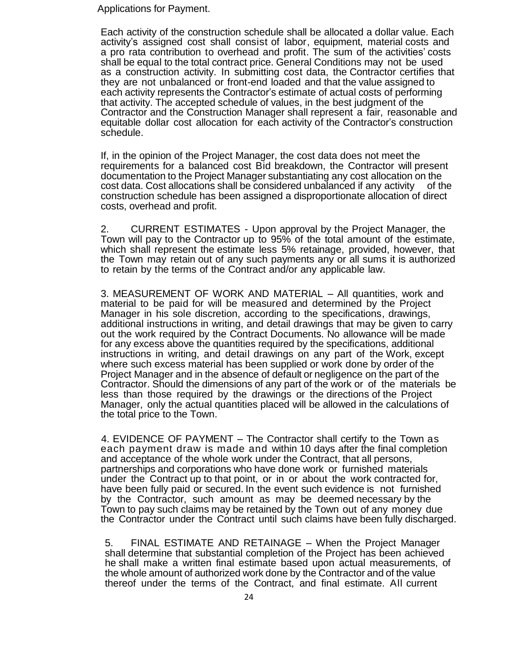Applications for Payment.

Each activity of the construction schedule shall be allocated a dollar value. Each activity's assigned cost shall consist of labor, equipment, material costs and a pro rata contribution to overhead and profit. The sum of the activities' costs shall be equal to the total contract price. General Conditions may not be used as a construction activity. In submitting cost data, the Contractor certifies that they are not unbalanced or front-end loaded and that the value assigned to each activity represents the Contractor's estimate of actual costs of performing that activity. The accepted schedule of values, in the best judgment of the Contractor and the Construction Manager shall represent a fair, reasonable and equitable dollar cost allocation for each activity of the Contractor's construction schedule.

If, in the opinion of the Project Manager, the cost data does not meet the requirements for a balanced cost Bid breakdown, the Contractor will present documentation to the Project Manager substantiating any cost allocation on the cost data. Cost allocations shall be considered unbalanced if any activity of the construction schedule has been assigned a disproportionate allocation of direct costs, overhead and profit.

2. CURRENT ESTIMATES - Upon approval by the Project Manager, the Town will pay to the Contractor up to 95% of the total amount of the estimate, which shall represent the estimate less 5% retainage, provided, however, that the Town may retain out of any such payments any or all sums it is authorized to retain by the terms of the Contract and/or any applicable law.

3. MEASUREMENT OF WORK AND MATERIAL – All quantities, work and material to be paid for will be measured and determined by the Project Manager in his sole discretion, according to the specifications, drawings, additional instructions in writing, and detail drawings that may be given to carry out the work required by the Contract Documents. No allowance will be made for any excess above the quantities required by the specifications, additional instructions in writing, and detail drawings on any part of the Work, except where such excess material has been supplied or work done by order of the Project Manager and in the absence of default or negligence on the part of the Contractor. Should the dimensions of any part of the work or of the materials be less than those required by the drawings or the directions of the Project Manager, only the actual quantities placed will be allowed in the calculations of the total price to the Town.

4. EVIDENCE OF PAYMENT – The Contractor shall certify to the Town as each payment draw is made and within 10 days after the final completion and acceptance of the whole work under the Contract, that all persons, partnerships and corporations who have done work or furnished materials under the Contract up to that point, or in or about the work contracted for, have been fully paid or secured. In the event such evidence is not furnished by the Contractor, such amount as may be deemed necessary by the Town to pay such claims may be retained by the Town out of any money due the Contractor under the Contract until such claims have been fully discharged.

5. FINAL ESTIMATE AND RETAINAGE – When the Project Manager shall determine that substantial completion of the Project has been achieved he shall make a written final estimate based upon actual measurements, of the whole amount of authorized work done by the Contractor and of the value thereof under the terms of the Contract, and final estimate. All current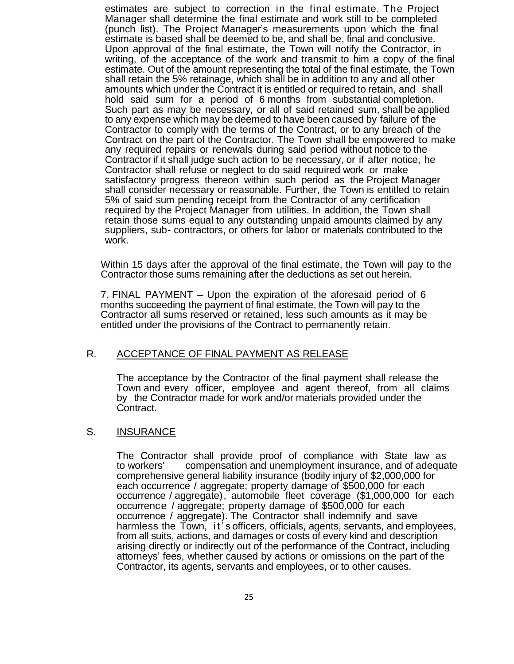estimates are subject to correction in the final estimate. The Project Manager shall determine the final estimate and work still to be completed (punch list). The Project Manager's measurements upon which the final estimate is based shall be deemed to be, and shall be, final and conclusive. Upon approval of the final estimate, the Town will notify the Contractor, in writing, of the acceptance of the work and transmit to him a copy of the final estimate. Out of the amount representing the total of the final estimate, the Town shall retain the 5% retainage, which shall be in addition to any and all other amounts which under the Contract it is entitled or required to retain, and shall hold said sum for a period of 6 months from substantial completion. Such part as may be necessary, or all of said retained sum, shall be applied to any expense which may be deemed to have been caused by failure of the Contractor to comply with the terms of the Contract, or to any breach of the Contract on the part of the Contractor. The Town shall be empowered to make any required repairs or renewals during said period without notice to the Contractor if it shall judge such action to be necessary, or if after notice, he Contractor shall refuse or neglect to do said required work or make satisfactory progress thereon within such period as the Project Manager shall consider necessary or reasonable. Further, the Town is entitled to retain 5% of said sum pending receipt from the Contractor of any certification required by the Project Manager from utilities. In addition, the Town shall retain those sums equal to any outstanding unpaid amounts claimed by any suppliers, sub- contractors, or others for labor or materials contributed to the work.

Within 15 days after the approval of the final estimate, the Town will pay to the Contractor those sums remaining after the deductions as set out herein.

7. FINAL PAYMENT – Upon the expiration of the aforesaid period of 6 months succeeding the payment of final estimate, the Town will pay to the Contractor all sums reserved or retained, less such amounts as it may be entitled under the provisions of the Contract to permanently retain.

### R. ACCEPTANCE OF FINAL PAYMENT AS RELEASE

The acceptance by the Contractor of the final payment shall release the Town and every officer, employee and agent thereof, from all claims by the Contractor made for work and/or materials provided under the Contract.

### S. INSURANCE

The Contractor shall provide proof of compliance with State law as to workers' compensation and unemployment insurance, and of adequa compensation and unemployment insurance, and of adequate comprehensive general liability insurance (bodily injury of \$2,000,000 for each occurrence / aggregate; property damage of \$500,000 for each occurrence / aggregate), automobile fleet coverage (\$1,000,000 for each occurrence / aggregate; property damage of \$500,000 for each occurrence / aggregate). The Contractor shall indemnify and save harmless the Town, it's officers, officials, agents, servants, and employees, from all suits, actions, and damages or costs of every kind and description arising directly or indirectly out of the performance of the Contract, including attorneys' fees, whether caused by actions or omissions on the part of the Contractor, its agents, servants and employees, or to other causes.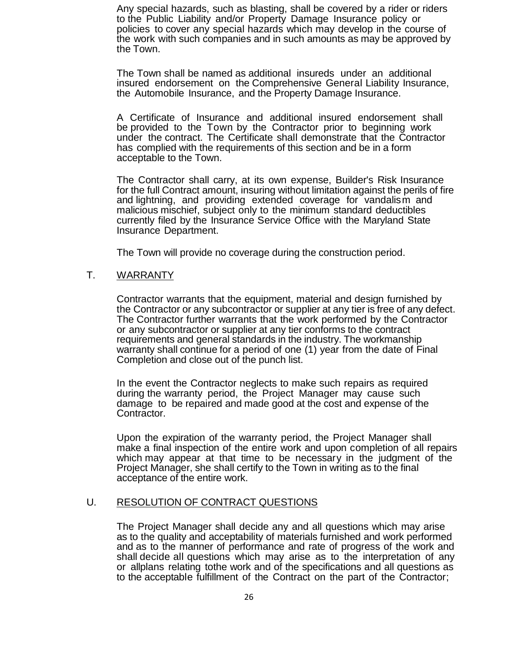Any special hazards, such as blasting, shall be covered by a rider or riders to the Public Liability and/or Property Damage Insurance policy or policies to cover any special hazards which may develop in the course of the work with such companies and in such amounts as may be approved by the Town.

The Town shall be named as additional insureds under an additional insured endorsement on the Comprehensive General Liability Insurance, the Automobile Insurance, and the Property Damage Insurance.

A Certificate of Insurance and additional insured endorsement shall be provided to the Town by the Contractor prior to beginning work under the contract. The Certificate shall demonstrate that the Contractor has complied with the requirements of this section and be in a form acceptable to the Town.

The Contractor shall carry, at its own expense, Builder's Risk Insurance for the full Contract amount, insuring without limitation against the perils of fire and lightning, and providing extended coverage for vandalism and malicious mischief, subject only to the minimum standard deductibles currently filed by the Insurance Service Office with the Maryland State Insurance Department.

The Town will provide no coverage during the construction period.

### T. WARRANTY

Contractor warrants that the equipment, material and design furnished by the Contractor or any subcontractor or supplier at any tier is free of any defect. The Contractor further warrants that the work performed by the Contractor or any subcontractor or supplier at any tier conforms to the contract requirements and general standards in the industry. The workmanship warranty shall continue for a period of one (1) year from the date of Final Completion and close out of the punch list.

In the event the Contractor neglects to make such repairs as required during the warranty period, the Project Manager may cause such damage to be repaired and made good at the cost and expense of the Contractor.

Upon the expiration of the warranty period, the Project Manager shall make a final inspection of the entire work and upon completion of all repairs which may appear at that time to be necessary in the judgment of the Project Manager, she shall certify to the Town in writing as to the final acceptance of the entire work.

### U. RESOLUTION OF CONTRACT QUESTIONS

The Project Manager shall decide any and all questions which may arise as to the quality and acceptability of materials furnished and work performed and as to the manner of performance and rate of progress of the work and shall decide all questions which may arise as to the interpretation of any or allplans relating tothe work and of the specifications and all questions as to the acceptable fulfillment of the Contract on the part of the Contractor;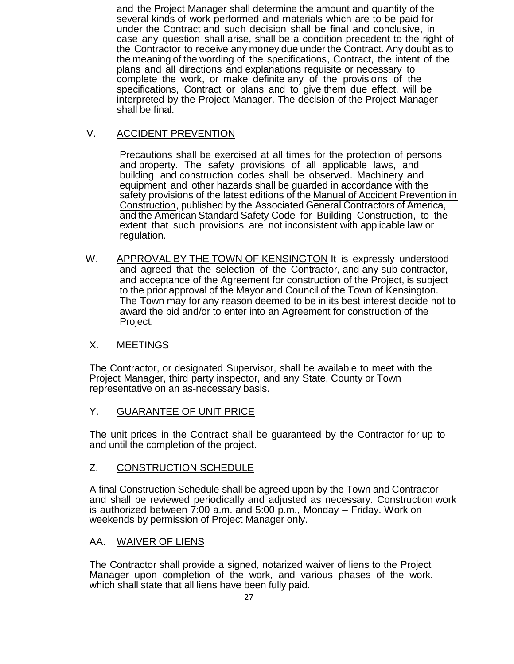and the Project Manager shall determine the amount and quantity of the several kinds of work performed and materials which are to be paid for under the Contract and such decision shall be final and conclusive, in case any question shall arise, shall be a condition precedent to the right of the Contractor to receive any money due under the Contract. Any doubt as to the meaning of the wording of the specifications, Contract, the intent of the plans and all directions and explanations requisite or necessary to complete the work, or make definite any of the provisions of the specifications, Contract or plans and to give them due effect, will be interpreted by the Project Manager. The decision of the Project Manager shall be final.

# V. ACCIDENT PREVENTION

Precautions shall be exercised at all times for the protection of persons and property. The safety provisions of all applicable laws, and building and construction codes shall be observed. Machinery and equipment and other hazards shall be guarded in accordance with the safety provisions of the latest editions of the Manual of Accident Prevention in Construction, published by the Associated General Contractors of America, and the American Standard Safety Code for Building Construction, to the extent that such provisions are not inconsistent with applicable law or regulation.

W. APPROVAL BY THE TOWN OF KENSINGTON It is expressly understood and agreed that the selection of the Contractor, and any sub-contractor, and acceptance of the Agreement for construction of the Project, is subject to the prior approval of the Mayor and Council of the Town of Kensington. The Town may for any reason deemed to be in its best interest decide not to award the bid and/or to enter into an Agreement for construction of the Project.

# X. MEETINGS

The Contractor, or designated Supervisor, shall be available to meet with the Project Manager, third party inspector, and any State, County or Town representative on an as-necessary basis.

# Y. GUARANTEE OF UNIT PRICE

The unit prices in the Contract shall be guaranteed by the Contractor for up to and until the completion of the project.

# Z. CONSTRUCTION SCHEDULE

A final Construction Schedule shall be agreed upon by the Town and Contractor and shall be reviewed periodically and adjusted as necessary. Construction work is authorized between 7:00 a.m. and 5:00 p.m., Monday – Friday. Work on weekends by permission of Project Manager only.

# AA. WAIVER OF LIENS

The Contractor shall provide a signed, notarized waiver of liens to the Project Manager upon completion of the work, and various phases of the work, which shall state that all liens have been fully paid.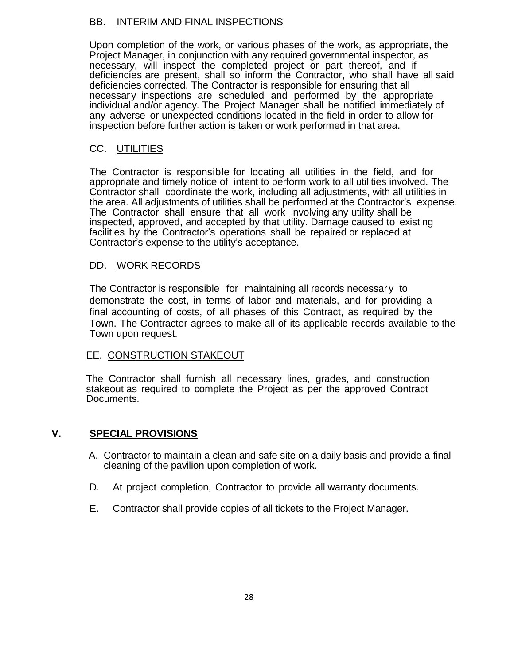## BB. INTERIM AND FINAL INSPECTIONS

Upon completion of the work, or various phases of the work, as appropriate, the Project Manager, in conjunction with any required governmental inspector, as necessary, will inspect the completed project or part thereof, and if deficiencies are present, shall so inform the Contractor, who shall have all said deficiencies corrected. The Contractor is responsible for ensuring that all necessary inspections are scheduled and performed by the appropriate individual and/or agency. The Project Manager shall be notified immediately of any adverse or unexpected conditions located in the field in order to allow for inspection before further action is taken or work performed in that area.

# CC. UTILITIES

The Contractor is responsible for locating all utilities in the field, and for appropriate and timely notice of intent to perform work to all utilities involved. The Contractor shall coordinate the work, including all adjustments, with all utilities in the area. All adjustments of utilities shall be performed at the Contractor's expense. The Contractor shall ensure that all work involving any utility shall be inspected, approved, and accepted by that utility. Damage caused to existing facilities by the Contractor's operations shall be repaired or replaced at Contractor's expense to the utility's acceptance.

## DD. WORK RECORDS

The Contractor is responsible for maintaining all records necessary to demonstrate the cost, in terms of labor and materials, and for providing a final accounting of costs, of all phases of this Contract, as required by the Town. The Contractor agrees to make all of its applicable records available to the Town upon request.

# EE. CONSTRUCTION STAKEOUT

The Contractor shall furnish all necessary lines, grades, and construction stakeout as required to complete the Project as per the approved Contract Documents.

# **V. SPECIAL PROVISIONS**

- A. Contractor to maintain a clean and safe site on a daily basis and provide a final cleaning of the pavilion upon completion of work.
- D. At project completion, Contractor to provide all warranty documents.
- E. Contractor shall provide copies of all tickets to the Project Manager.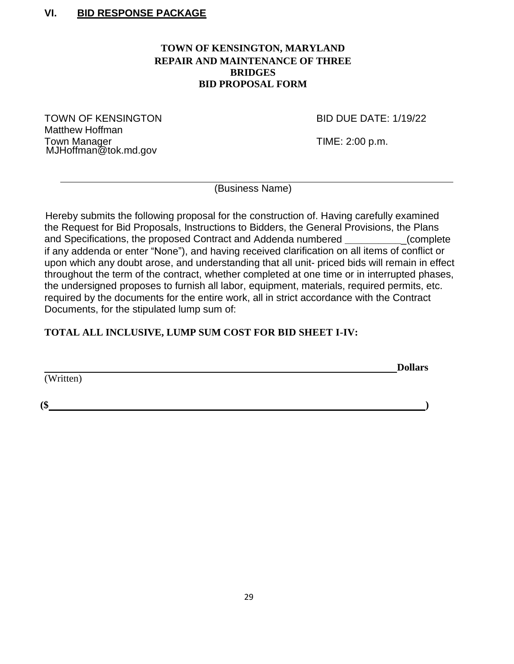# **VI. BID RESPONSE PACKAGE**

## **TOWN OF KENSINGTON, MARYLAND REPAIR AND MAINTENANCE OF THREE BRIDGES BID PROPOSAL FORM**

TOWN OF KENSINGTON BID DUE DATE: 1/19/22 Matthew Hoffman Town Manager **Time:** 2:00 p.m. MJHoffman@tok.md.gov

(Business Name)

Hereby submits the following proposal for the construction of. Having carefully examined the Request for Bid Proposals, Instructions to Bidders, the General Provisions, the Plans and Specifications, the proposed Contract and Addenda numbered **\_\_\_\_\_\_\_\_\_\_**\_(complete if any addenda or enter "None"), and having received clarification on all items of conflict or upon which any doubt arose, and understanding that all unit- priced bids will remain in effect throughout the term of the contract, whether completed at one time or in interrupted phases, the undersigned proposes to furnish all labor, equipment, materials, required permits, etc. required by the documents for the entire work, all in strict accordance with the Contract Documents, for the stipulated lump sum of:

# **TOTAL ALL INCLUSIVE, LUMP SUM COST FOR BID SHEET I-IV:**

**Dollars**

(Written)

**(\$ )**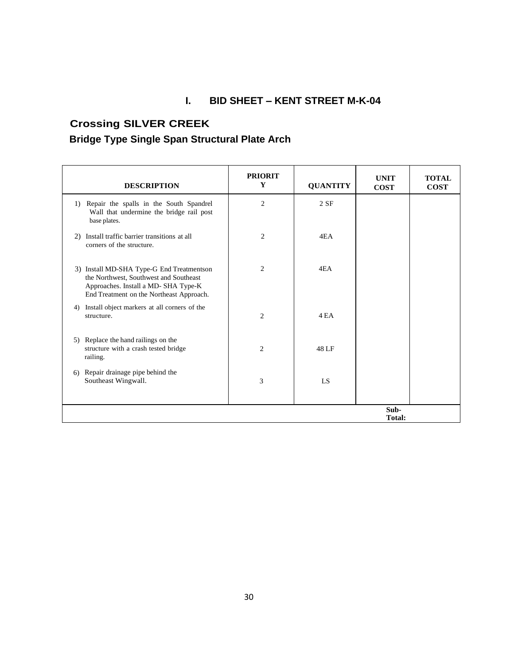# **I. BID SHEET – KENT STREET M-K-04**

# **Crossing SILVER CREEK Bridge Type Single Span Structural Plate Arch**

|    | <b>DESCRIPTION</b>                                                                                                                                                     | <b>PRIORIT</b><br>Y | <b>QUANTITY</b> | <b>UNIT</b><br><b>COST</b> | <b>TOTAL</b><br><b>COST</b> |
|----|------------------------------------------------------------------------------------------------------------------------------------------------------------------------|---------------------|-----------------|----------------------------|-----------------------------|
|    | 1) Repair the spalls in the South Spandrel<br>Wall that undermine the bridge rail post<br>base plates.                                                                 | $\overline{c}$      | 2SF             |                            |                             |
| 2) | Install traffic barrier transitions at all<br>corners of the structure.                                                                                                | $\overline{c}$      | 4EA             |                            |                             |
|    | 3) Install MD-SHA Type-G End Treatmentson<br>the Northwest, Southwest and Southeast<br>Approaches. Install a MD-SHA Type-K<br>End Treatment on the Northeast Approach. | $\overline{2}$      | 4EA             |                            |                             |
| 4) | Install object markers at all corners of the<br>structure.                                                                                                             | $\overline{2}$      | 4 EA            |                            |                             |
|    | 5) Replace the hand railings on the<br>structure with a crash tested bridge<br>railing.                                                                                | $\overline{2}$      | 48 LF           |                            |                             |
| 6) | Repair drainage pipe behind the<br>Southeast Wingwall.                                                                                                                 | 3                   | LS.             |                            |                             |
|    |                                                                                                                                                                        |                     |                 | Sub-<br><b>Total:</b>      |                             |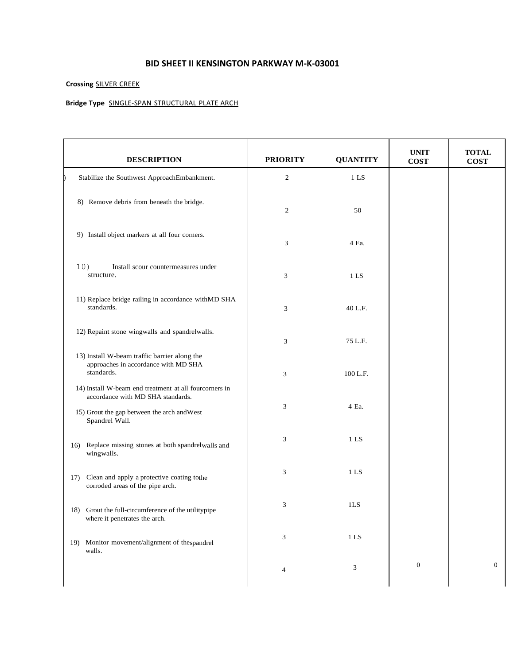### **BID SHEET II KENSINGTON PARKWAY M-K-03001**

### **Crossing** SILVER CREEK

### **Bridge Type** SINGLE-SPAN STRUCTURAL PLATE ARCH

| <b>DESCRIPTION</b>                                                                                                                                           | <b>PRIORITY</b>             | <b>QUANTITY</b> | <b>UNIT</b><br><b>COST</b> | <b>TOTAL</b><br><b>COST</b> |
|--------------------------------------------------------------------------------------------------------------------------------------------------------------|-----------------------------|-----------------|----------------------------|-----------------------------|
| Stabilize the Southwest ApproachEmbankment.                                                                                                                  | 2                           | 1 LS            |                            |                             |
| 8) Remove debris from beneath the bridge.                                                                                                                    | $\mathbf{2}$                | 50              |                            |                             |
| 9) Install object markers at all four corners.                                                                                                               | 3                           | 4 Ea.           |                            |                             |
| 10)<br>Install scour countermeasures under<br>structure.                                                                                                     | 3                           | 1 LS            |                            |                             |
| 11) Replace bridge railing in accordance withMD SHA<br>standards.                                                                                            | 3                           | 40 L.F.         |                            |                             |
| 12) Repaint stone wingwalls and spandrelwalls.                                                                                                               | 3                           | 75 L.F.         |                            |                             |
| 13) Install W-beam traffic barrier along the<br>approaches in accordance with MD SHA<br>standards.                                                           | 3                           | 100 L.F.        |                            |                             |
| 14) Install W-beam end treatment at all fourcorners in<br>accordance with MD SHA standards.<br>15) Grout the gap between the arch and West<br>Spandrel Wall. | 3                           | 4 Ea.           |                            |                             |
| Replace missing stones at both spandrelwalls and<br>16)<br>wingwalls.                                                                                        | 3                           | 1 <sub>LS</sub> |                            |                             |
| Clean and apply a protective coating tothe<br>17)<br>corroded areas of the pipe arch.                                                                        | 3                           | 1 <sub>LS</sub> |                            |                             |
| 18) Grout the full-circumference of the utilitypipe<br>where it penetrates the arch.                                                                         | 3                           | 1LS             |                            |                             |
| 19) Monitor movement/alignment of the spandrel<br>walls.                                                                                                     | $\ensuremath{\mathfrak{Z}}$ | $1\,$ LS $\,$   |                            |                             |
|                                                                                                                                                              | 4                           | 3               | $\boldsymbol{0}$           | $\boldsymbol{0}$            |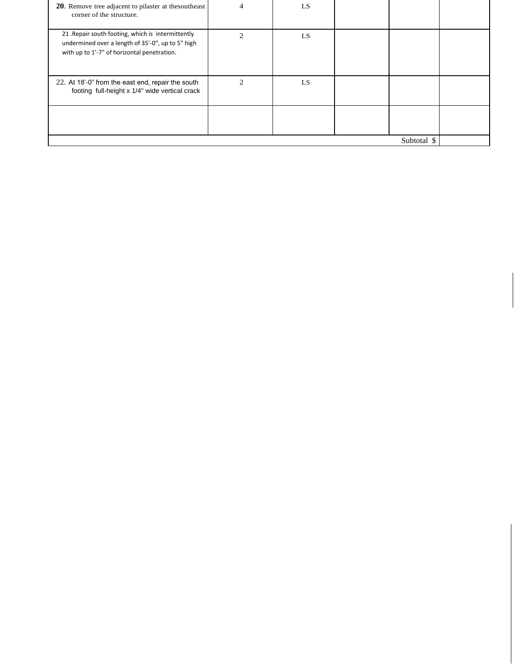| <b>20.</b> Remove tree adjacent to pilaster at the southeast<br>corner of the structure.                                                               |                             | LS  |             |  |
|--------------------------------------------------------------------------------------------------------------------------------------------------------|-----------------------------|-----|-------------|--|
| 21 . Repair south footing, which is intermittently<br>undermined over a length of 35'-0", up to 5" high<br>with up to 1'-7" of horizontal penetration. | $\mathfrak{D}$              | LS. |             |  |
| 22. At 18'-0" from the east end, repair the south<br>footing full-height x 1/4" wide vertical crack                                                    | $\mathcal{D}_{\mathcal{L}}$ | LS. |             |  |
|                                                                                                                                                        |                             |     |             |  |
|                                                                                                                                                        |                             |     | Subtotal \$ |  |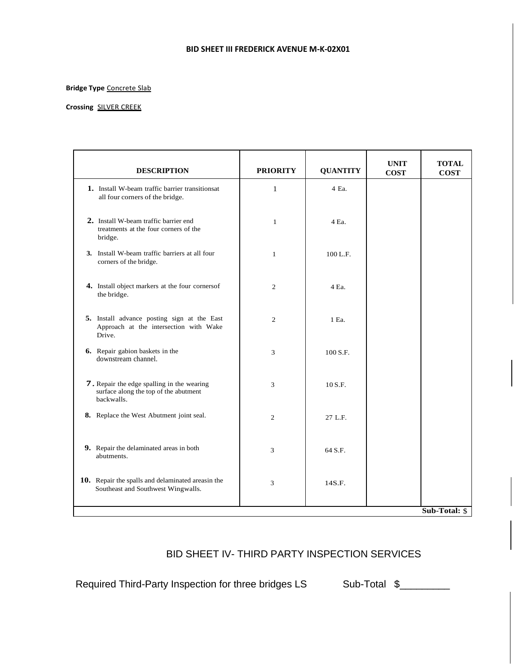#### **BID SHEET III FREDERICK AVENUE M-K-02X01**

#### **Bridge Type** Concrete Slab

#### **Crossing** SILVER CREEK

| <b>DESCRIPTION</b>                                                                                | <b>PRIORITY</b> | <b>QUANTITY</b> | <b>UNIT</b><br><b>COST</b> | <b>TOTAL</b><br><b>COST</b> |
|---------------------------------------------------------------------------------------------------|-----------------|-----------------|----------------------------|-----------------------------|
| <b>1.</b> Install W-beam traffic barrier transitions at<br>all four corners of the bridge.        | $\mathbf{1}$    | 4 Ea.           |                            |                             |
| 2. Install W-beam traffic barrier end<br>treatments at the four corners of the<br>bridge.         | $\mathbf{1}$    | 4 Ea.           |                            |                             |
| 3. Install W-beam traffic barriers at all four<br>corners of the bridge.                          | $\mathbf{1}$    | 100 L.F.        |                            |                             |
| 4. Install object markers at the four cornersof<br>the bridge.                                    | $\overline{c}$  | 4 Ea.           |                            |                             |
| 5. Install advance posting sign at the East<br>Approach at the intersection with Wake<br>Drive.   | $\overline{2}$  | 1 Ea.           |                            |                             |
| 6. Repair gabion baskets in the<br>downstream channel.                                            | 3               | 100 S.F.        |                            |                             |
| 7. Repair the edge spalling in the wearing<br>surface along the top of the abutment<br>backwalls. | 3               | 10 S.F.         |                            |                             |
| 8. Replace the West Abutment joint seal.                                                          | $\overline{c}$  | 27 L.F.         |                            |                             |
| 9. Repair the delaminated areas in both<br>abutments.                                             | 3               | 64 S.F.         |                            |                             |
| 10. Repair the spalls and delaminated areasin the<br>Southeast and Southwest Wingwalls.           | 3               | 14S.F.          |                            |                             |
|                                                                                                   |                 |                 |                            | Sub-Total: \$               |

# BID SHEET IV- THIRD PARTY INSPECTION SERVICES

Required Third-Party Inspection for three bridges LS Sub-Total \$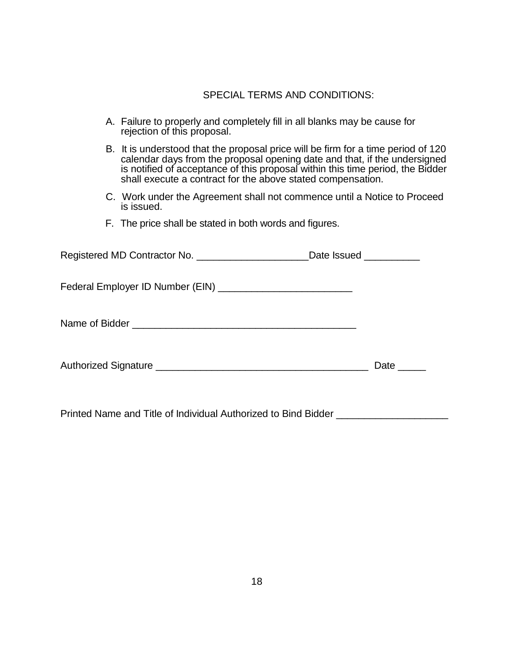# SPECIAL TERMS AND CONDITIONS:

|  | A. Failure to properly and completely fill in all blanks may be cause for<br>rejection of this proposal.                                                                                                                                                                                                        |              |
|--|-----------------------------------------------------------------------------------------------------------------------------------------------------------------------------------------------------------------------------------------------------------------------------------------------------------------|--------------|
|  | B. It is understood that the proposal price will be firm for a time period of 120<br>calendar days from the proposal opening date and that, if the undersigned<br>is notified of acceptance of this proposal within this time period, the Bidder<br>shall execute a contract for the above stated compensation. |              |
|  | C. Work under the Agreement shall not commence until a Notice to Proceed<br>is issued.                                                                                                                                                                                                                          |              |
|  | F. The price shall be stated in both words and figures.                                                                                                                                                                                                                                                         |              |
|  | Registered MD Contractor No. __________________________Date lssued ____________                                                                                                                                                                                                                                 |              |
|  |                                                                                                                                                                                                                                                                                                                 |              |
|  |                                                                                                                                                                                                                                                                                                                 |              |
|  |                                                                                                                                                                                                                                                                                                                 | Date _______ |

Printed Name and Title of Individual Authorized to Bind Bidder **\_\_\_\_\_\_\_\_\_\_\_\_\_\_\_\_\_**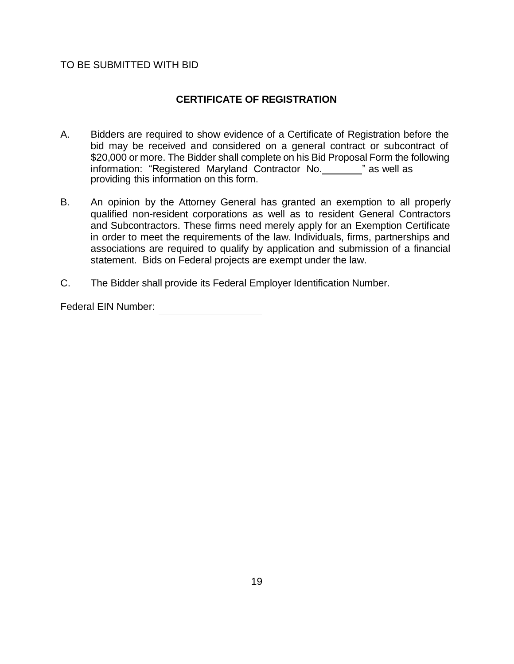## TO BE SUBMITTED WITH BID

# **CERTIFICATE OF REGISTRATION**

- A. Bidders are required to show evidence of a Certificate of Registration before the bid may be received and considered on a general contract or subcontract of \$20,000 or more. The Bidder shall complete on his Bid Proposal Form the following information: "Registered Maryland Contractor No. \_\_\_\_ " as well as providing this information on this form.
- B. An opinion by the Attorney General has granted an exemption to all properly qualified non-resident corporations as well as to resident General Contractors and Subcontractors. These firms need merely apply for an Exemption Certificate in order to meet the requirements of the law. Individuals, firms, partnerships and associations are required to qualify by application and submission of a financial statement. Bids on Federal projects are exempt under the law.
- C. The Bidder shall provide its Federal Employer Identification Number.

Federal EIN Number: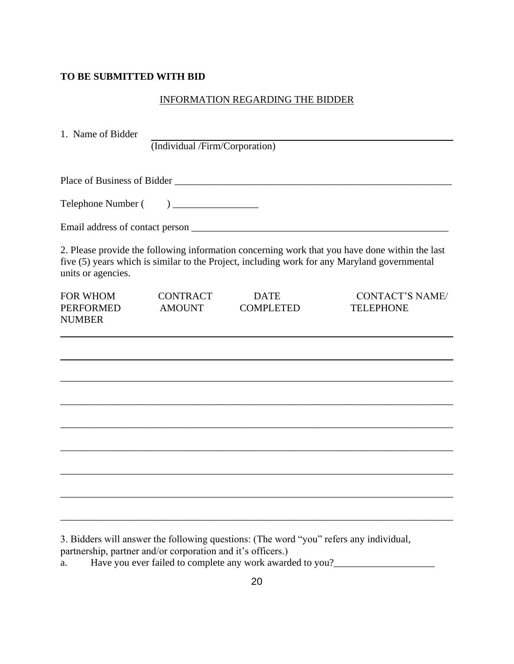## **TO BE SUBMITTED WITH BID**

## INFORMATION REGARDING THE BIDDER

| 1. Name of Bidder                                    |                                                                                                                   |                                 |                                                                                                                                                                                                |
|------------------------------------------------------|-------------------------------------------------------------------------------------------------------------------|---------------------------------|------------------------------------------------------------------------------------------------------------------------------------------------------------------------------------------------|
|                                                      | (Individual /Firm/Corporation)                                                                                    |                                 |                                                                                                                                                                                                |
|                                                      |                                                                                                                   |                                 |                                                                                                                                                                                                |
| Telephone Number (                                   | $\begin{tabular}{ c c c c } \hline \quad \quad & \quad \quad & \quad \quad & \quad \quad \\ \hline \end{tabular}$ |                                 |                                                                                                                                                                                                |
|                                                      |                                                                                                                   |                                 |                                                                                                                                                                                                |
| units or agencies.                                   |                                                                                                                   |                                 | 2. Please provide the following information concerning work that you have done within the last<br>five (5) years which is similar to the Project, including work for any Maryland governmental |
| <b>FOR WHOM</b><br><b>PERFORMED</b><br><b>NUMBER</b> | <b>CONTRACT</b><br><b>AMOUNT</b>                                                                                  | <b>DATE</b><br><b>COMPLETED</b> | <b>CONTACT'S NAME/</b><br><b>TELEPHONE</b>                                                                                                                                                     |
|                                                      |                                                                                                                   |                                 |                                                                                                                                                                                                |
|                                                      |                                                                                                                   |                                 |                                                                                                                                                                                                |
|                                                      |                                                                                                                   |                                 |                                                                                                                                                                                                |
|                                                      |                                                                                                                   |                                 |                                                                                                                                                                                                |
|                                                      |                                                                                                                   |                                 |                                                                                                                                                                                                |
|                                                      |                                                                                                                   |                                 |                                                                                                                                                                                                |
|                                                      |                                                                                                                   |                                 |                                                                                                                                                                                                |
|                                                      |                                                                                                                   |                                 |                                                                                                                                                                                                |

3. Bidders will answer the following questions: (The word "you" refers any individual,

partnership, partner and/or corporation and it's officers.)

a. Have you ever failed to complete any work awarded to you? $\frac{1}{2}$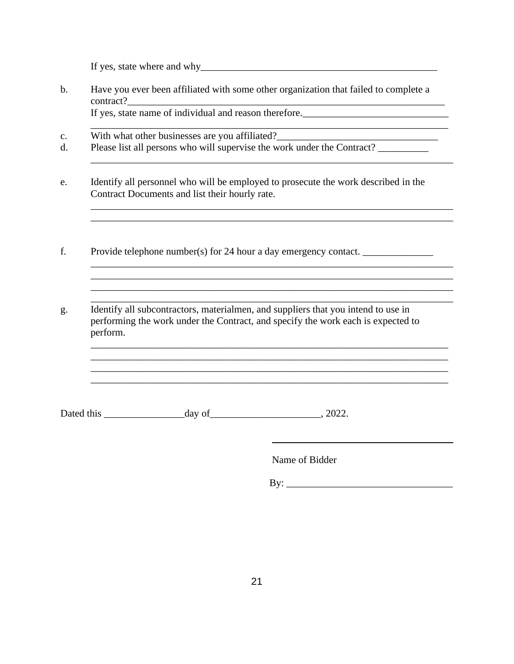If yes, state where and why\_\_\_\_\_\_\_\_\_\_\_\_\_\_\_\_\_\_\_\_\_\_\_\_\_\_\_\_\_\_\_\_\_\_\_\_\_\_\_\_\_\_\_\_\_\_\_

b. Have you ever been affiliated with some other organization that failed to complete a contract? If yes, state name of individual and reason therefore.\_\_\_\_\_\_\_\_\_\_\_\_\_\_\_\_\_\_\_\_\_\_\_\_\_\_\_\_\_

c. With what other businesses are you affiliated?

- d. Please list all persons who will supervise the work under the Contract? \_\_\_\_\_\_\_\_\_\_
- e. Identify all personnel who will be employed to prosecute the work described in the Contract Documents and list their hourly rate.

\_\_\_\_\_\_\_\_\_\_\_\_\_\_\_\_\_\_\_\_\_\_\_\_\_\_\_\_\_\_\_\_\_\_\_\_\_\_\_\_\_\_\_\_\_\_\_\_\_\_\_\_\_\_\_\_\_\_\_\_\_\_\_\_\_\_\_\_\_\_\_\_

\_\_\_\_\_\_\_\_\_\_\_\_\_\_\_\_\_\_\_\_\_\_\_\_\_\_\_\_\_\_\_\_\_\_\_\_\_\_\_\_\_\_\_\_\_\_\_\_\_\_\_\_\_\_\_\_\_\_\_\_\_\_\_\_\_\_\_\_\_\_\_\_

\_\_\_\_\_\_\_\_\_\_\_\_\_\_\_\_\_\_\_\_\_\_\_\_\_\_\_\_\_\_\_\_\_\_\_\_\_\_\_\_\_\_\_\_\_\_\_\_\_\_\_\_\_\_\_\_\_\_\_\_\_\_\_\_\_\_\_\_\_\_\_\_ \_\_\_\_\_\_\_\_\_\_\_\_\_\_\_\_\_\_\_\_\_\_\_\_\_\_\_\_\_\_\_\_\_\_\_\_\_\_\_\_\_\_\_\_\_\_\_\_\_\_\_\_\_\_\_\_\_\_\_\_\_\_\_\_\_\_\_\_\_\_\_\_

\_\_\_\_\_\_\_\_\_\_\_\_\_\_\_\_\_\_\_\_\_\_\_\_\_\_\_\_\_\_\_\_\_\_\_\_\_\_\_\_\_\_\_\_\_\_\_\_\_\_\_\_\_\_\_\_\_\_\_\_\_\_\_\_\_\_\_\_\_\_\_ \_\_\_\_\_\_\_\_\_\_\_\_\_\_\_\_\_\_\_\_\_\_\_\_\_\_\_\_\_\_\_\_\_\_\_\_\_\_\_\_\_\_\_\_\_\_\_\_\_\_\_\_\_\_\_\_\_\_\_\_\_\_\_\_\_\_\_\_\_\_\_  $\mathcal{L}_\text{max}$  and  $\mathcal{L}_\text{max}$  and  $\mathcal{L}_\text{max}$  and  $\mathcal{L}_\text{max}$  and  $\mathcal{L}_\text{max}$  and  $\mathcal{L}_\text{max}$ \_\_\_\_\_\_\_\_\_\_\_\_\_\_\_\_\_\_\_\_\_\_\_\_\_\_\_\_\_\_\_\_\_\_\_\_\_\_\_\_\_\_\_\_\_\_\_\_\_\_\_\_\_\_\_\_\_\_\_\_\_\_\_\_\_\_\_\_\_\_\_

 $\mathcal{L}_\mathcal{L} = \{ \mathcal{L}_\mathcal{L} = \{ \mathcal{L}_\mathcal{L} = \{ \mathcal{L}_\mathcal{L} = \{ \mathcal{L}_\mathcal{L} = \{ \mathcal{L}_\mathcal{L} = \{ \mathcal{L}_\mathcal{L} = \{ \mathcal{L}_\mathcal{L} = \{ \mathcal{L}_\mathcal{L} = \{ \mathcal{L}_\mathcal{L} = \{ \mathcal{L}_\mathcal{L} = \{ \mathcal{L}_\mathcal{L} = \{ \mathcal{L}_\mathcal{L} = \{ \mathcal{L}_\mathcal{L} = \{ \mathcal{L}_\mathcal{$ 

- f. Provide telephone number(s) for 24 hour a day emergency contact.
- g. Identify all subcontractors, materialmen, and suppliers that you intend to use in performing the work under the Contract, and specify the work each is expected to perform.

Dated this \_\_\_\_\_\_\_\_\_\_\_\_\_\_\_\_day of\_\_\_\_\_\_\_\_\_\_\_\_\_\_\_\_\_\_\_\_\_\_, 2022.

Name of Bidder

 $\mathbf{By:}$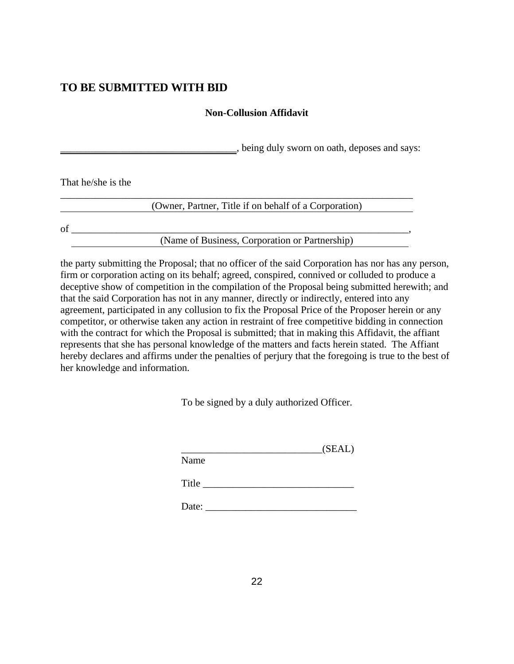# **TO BE SUBMITTED WITH BID**

# **Non-Collusion Affidavit**

\_\_\_\_\_\_\_\_\_\_\_\_\_\_\_\_\_\_\_\_\_\_\_\_\_\_\_\_\_\_\_\_\_\_\_, being duly sworn on oath, deposes and says:

That he/she is the

\_\_\_\_\_\_\_\_\_\_\_\_\_\_\_\_\_\_\_\_\_\_\_\_\_\_\_\_\_\_\_\_\_\_\_\_\_\_\_\_\_\_\_\_\_\_\_\_\_\_\_\_\_\_\_\_\_\_\_\_\_\_\_\_\_\_\_\_\_\_ (Owner, Partner, Title if on behalf of a Corporation)

 $of$   $\overline{\phantom{a}}$ 

(Name of Business, Corporation or Partnership)

the party submitting the Proposal; that no officer of the said Corporation has nor has any person, firm or corporation acting on its behalf; agreed, conspired, connived or colluded to produce a deceptive show of competition in the compilation of the Proposal being submitted herewith; and that the said Corporation has not in any manner, directly or indirectly, entered into any agreement, participated in any collusion to fix the Proposal Price of the Proposer herein or any competitor, or otherwise taken any action in restraint of free competitive bidding in connection with the contract for which the Proposal is submitted; that in making this Affidavit, the affiant represents that she has personal knowledge of the matters and facts herein stated. The Affiant hereby declares and affirms under the penalties of perjury that the foregoing is true to the best of her knowledge and information.

To be signed by a duly authorized Officer.

| Name  | (SEAL) |
|-------|--------|
| Title |        |
| Date: |        |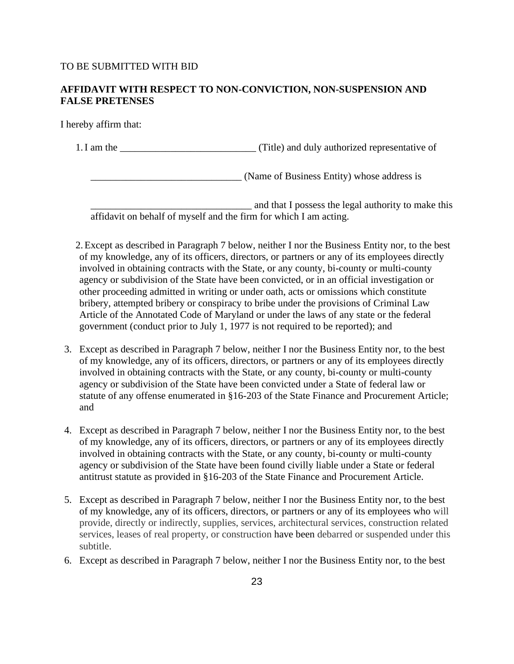## TO BE SUBMITTED WITH BID

## **AFFIDAVIT WITH RESPECT TO NON-CONVICTION, NON-SUSPENSION AND FALSE PRETENSES**

I hereby affirm that:

1.I am the \_\_\_\_\_\_\_\_\_\_\_\_\_\_\_\_\_\_\_\_\_\_\_\_\_\_\_ (Title) and duly authorized representative of

(Name of Business Entity) whose address is

\_\_\_\_\_\_\_\_\_\_\_\_\_\_\_\_\_\_\_\_\_\_\_\_\_\_\_\_\_\_\_\_ and that I possess the legal authority to make this affidavit on behalf of myself and the firm for which I am acting.

2.Except as described in Paragraph 7 below, neither I nor the Business Entity nor, to the best of my knowledge, any of its officers, directors, or partners or any of its employees directly involved in obtaining contracts with the State, or any county, bi-county or multi-county agency or subdivision of the State have been convicted, or in an official investigation or other proceeding admitted in writing or under oath, acts or omissions which constitute bribery, attempted bribery or conspiracy to bribe under the provisions of Criminal Law Article of the Annotated Code of Maryland or under the laws of any state or the federal government (conduct prior to July 1, 1977 is not required to be reported); and

- 3. Except as described in Paragraph 7 below, neither I nor the Business Entity nor, to the best of my knowledge, any of its officers, directors, or partners or any of its employees directly involved in obtaining contracts with the State, or any county, bi-county or multi-county agency or subdivision of the State have been convicted under a State of federal law or statute of any offense enumerated in §16-203 of the State Finance and Procurement Article; and
- 4. Except as described in Paragraph 7 below, neither I nor the Business Entity nor, to the best of my knowledge, any of its officers, directors, or partners or any of its employees directly involved in obtaining contracts with the State, or any county, bi-county or multi-county agency or subdivision of the State have been found civilly liable under a State or federal antitrust statute as provided in §16-203 of the State Finance and Procurement Article.
- 5. Except as described in Paragraph 7 below, neither I nor the Business Entity nor, to the best of my knowledge, any of its officers, directors, or partners or any of its employees who will provide, directly or indirectly, supplies, services, architectural services, construction related services, leases of real property, or construction have been debarred or suspended under this subtitle.
- 6. Except as described in Paragraph 7 below, neither I nor the Business Entity nor, to the best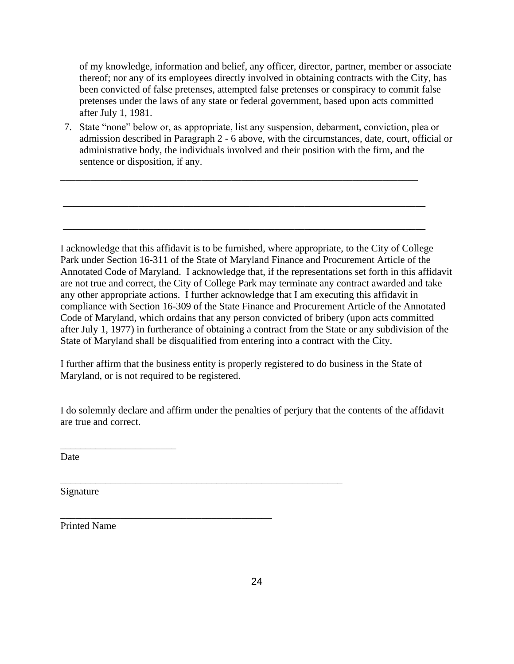of my knowledge, information and belief, any officer, director, partner, member or associate thereof; nor any of its employees directly involved in obtaining contracts with the City, has been convicted of false pretenses, attempted false pretenses or conspiracy to commit false pretenses under the laws of any state or federal government, based upon acts committed after July 1, 1981.

7. State "none" below or, as appropriate, list any suspension, debarment, conviction, plea or admission described in Paragraph 2 - 6 above, with the circumstances, date, court, official or administrative body, the individuals involved and their position with the firm, and the sentence or disposition, if any.

\_\_\_\_\_\_\_\_\_\_\_\_\_\_\_\_\_\_\_\_\_\_\_\_\_\_\_\_\_\_\_\_\_\_\_\_\_\_\_\_\_\_\_\_\_\_\_\_\_\_\_\_\_\_\_\_\_\_\_\_\_\_\_\_\_\_\_\_\_\_\_

\_\_\_\_\_\_\_\_\_\_\_\_\_\_\_\_\_\_\_\_\_\_\_\_\_\_\_\_\_\_\_\_\_\_\_\_\_\_\_\_\_\_\_\_\_\_\_\_\_\_\_\_\_\_\_\_\_\_\_\_\_\_\_\_\_\_\_\_\_\_\_\_

\_\_\_\_\_\_\_\_\_\_\_\_\_\_\_\_\_\_\_\_\_\_\_\_\_\_\_\_\_\_\_\_\_\_\_\_\_\_\_\_\_\_\_\_\_\_\_\_\_\_\_\_\_\_\_\_\_\_\_\_\_\_\_\_\_\_\_\_\_\_\_\_

I acknowledge that this affidavit is to be furnished, where appropriate, to the City of College Park under Section 16-311 of the State of Maryland Finance and Procurement Article of the Annotated Code of Maryland. I acknowledge that, if the representations set forth in this affidavit are not true and correct, the City of College Park may terminate any contract awarded and take any other appropriate actions. I further acknowledge that I am executing this affidavit in compliance with Section 16-309 of the State Finance and Procurement Article of the Annotated Code of Maryland, which ordains that any person convicted of bribery (upon acts committed after July 1, 1977) in furtherance of obtaining a contract from the State or any subdivision of the State of Maryland shall be disqualified from entering into a contract with the City.

I further affirm that the business entity is properly registered to do business in the State of Maryland, or is not required to be registered.

\_\_\_\_\_\_\_\_\_\_\_\_\_\_\_\_\_\_\_\_\_\_\_\_\_\_\_\_\_\_\_\_\_\_\_\_\_\_\_\_\_\_\_\_\_\_\_\_\_\_\_\_\_\_\_\_

\_\_\_\_\_\_\_\_\_\_\_\_\_\_\_\_\_\_\_\_\_\_\_\_\_\_\_\_\_\_\_\_\_\_\_\_\_\_\_\_\_\_

I do solemnly declare and affirm under the penalties of perjury that the contents of the affidavit are true and correct.

Date

Signature

Printed Name

\_\_\_\_\_\_\_\_\_\_\_\_\_\_\_\_\_\_\_\_\_\_\_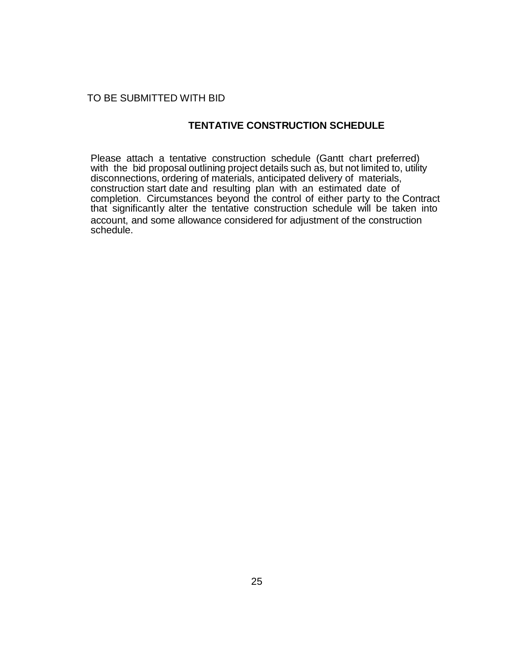### TO BE SUBMITTED WITH BID

## **TENTATIVE CONSTRUCTION SCHEDULE**

Please attach a tentative construction schedule (Gantt chart preferred) with the bid proposal outlining project details such as, but not limited to, utility disconnections, ordering of materials, anticipated delivery of materials, construction start date and resulting plan with an estimated date of completion. Circumstances beyond the control of either party to the Contract that significantly alter the tentative construction schedule will be taken into account, and some allowance considered for adjustment of the construction schedule.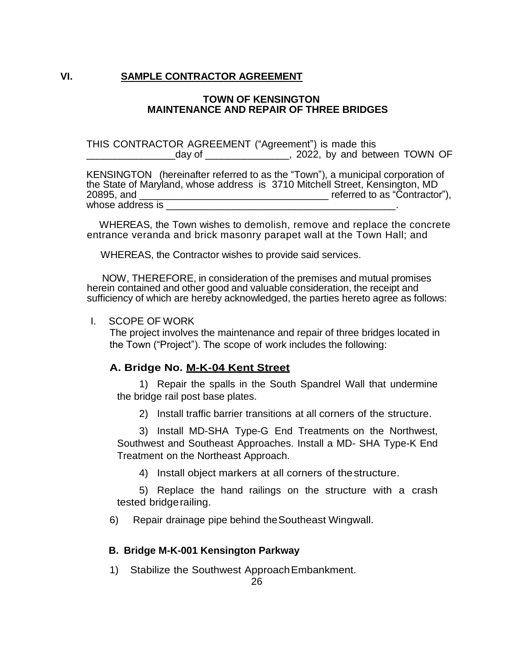## **VI. SAMPLE CONTRACTOR AGREEMENT**

### **TOWN OF KENSINGTON MAINTENANCE AND REPAIR OF THREE BRIDGES**

THIS CONTRACTOR AGREEMENT ("Agreement") is made this day of \_\_\_\_\_\_\_\_\_\_\_\_\_\_\_\_, 2022, by and between TOWN OF

KENSINGTON (hereinafter referred to as the "Town"), a municipal corporation of the State of Maryland, whose address is 3710 Mitchell Street, Kensington, MD 20895, and \_\_\_\_\_\_\_\_\_\_\_\_\_\_\_\_\_\_\_\_\_\_\_\_\_\_\_\_\_\_\_\_\_\_ referred to as "Contractor"), whose address is

 WHEREAS, the Town wishes to demolish, remove and replace the concrete entrance veranda and brick masonry parapet wall at the Town Hall; and

WHEREAS, the Contractor wishes to provide said services.

NOW, THEREFORE, in consideration of the premises and mutual promises herein contained and other good and valuable consideration, the receipt and sufficiency of which are hereby acknowledged, the parties hereto agree as follows:

### I. SCOPE OF WORK

The project involves the maintenance and repair of three bridges located in the Town ("Project"). The scope of work includes the following:

### **A. Bridge No. M-K-04 Kent Street**

1) Repair the spalls in the South Spandrel Wall that undermine the bridge rail post base plates.

2) Install traffic barrier transitions at all corners of the structure.

3) Install MD-SHA Type-G End Treatments on the Northwest, Southwest and Southeast Approaches. Install a MD- SHA Type-K End Treatment on the Northeast Approach.

4) Install object markers at all corners of thestructure.

5) Replace the hand railings on the structure with a crash tested bridgerailing.

6) Repair drainage pipe behind theSoutheast Wingwall.

### **B. Bridge M-K-001 Kensington Parkway**

1)Stabilize the Southwest ApproachEmbankment.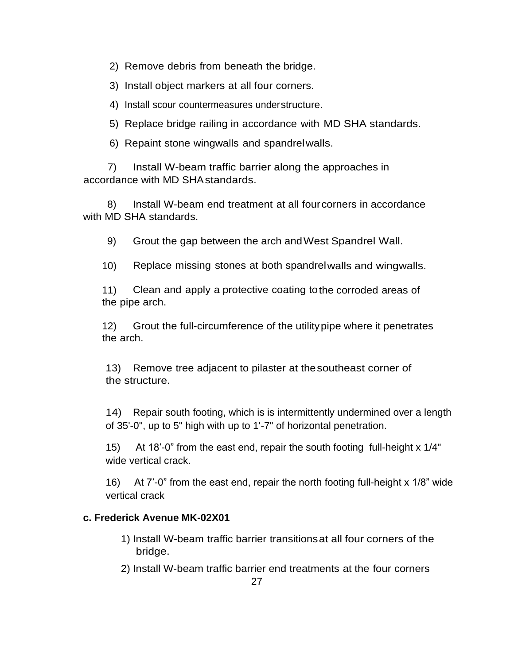2) Remove debris from beneath the bridge.

3) Install object markers at all four corners.

4) Install scour countermeasures understructure.

5) Replace bridge railing in accordance with MD SHA standards.

6) Repaint stone wingwalls and spandrelwalls.

7) Install W-beam traffic barrier along the approaches in accordance with MD SHAstandards.

8) Install W-beam end treatment at all fourcorners in accordance with MD SHA standards.

9) Grout the gap between the arch andWest Spandrel Wall.

10) Replace missing stones at both spandrelwalls and wingwalls.

11) Clean and apply a protective coating tothe corroded areas of the pipe arch.

12) Grout the full-circumference of the utilitypipe where it penetrates the arch.

13) Remove tree adjacent to pilaster at thesoutheast corner of the structure.

14) Repair south footing, which is is intermittently undermined over a length of 35'-0", up to 5" high with up to 1'-7" of horizontal penetration.

15) At 18'-0" from the east end, repair the south footing full-height x 1/4" wide vertical crack.

16) At 7'-0" from the east end, repair the north footing full-height x 1/8" wide vertical crack

# **c. Frederick Avenue MK-02X01**

- 1) Install W-beam traffic barrier transitionsat all four corners of the bridge.
- 2) Install W-beam traffic barrier end treatments at the four corners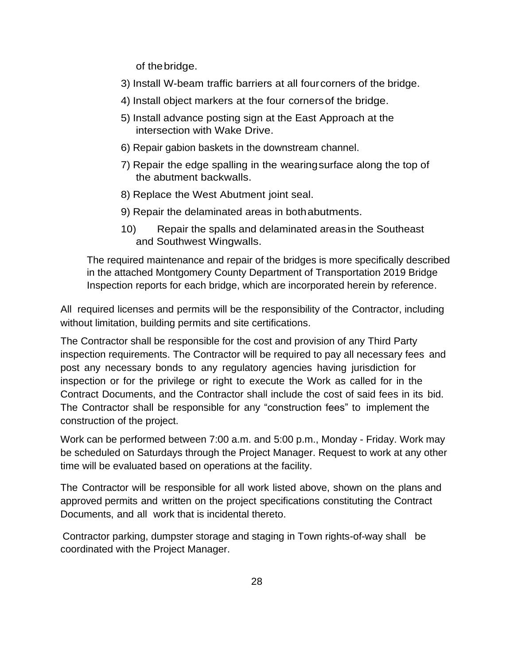of thebridge.

- 3) Install W-beam traffic barriers at all fourcorners of the bridge.
- 4) Install object markers at the four cornersof the bridge.
- 5) Install advance posting sign at the East Approach at the intersection with Wake Drive.
- 6) Repair gabion baskets in the downstream channel.
- 7) Repair the edge spalling in the wearingsurface along the top of the abutment backwalls.
- 8) Replace the West Abutment joint seal.
- 9) Repair the delaminated areas in bothabutments.
- 10) Repair the spalls and delaminated areasin the Southeast and Southwest Wingwalls.

The required maintenance and repair of the bridges is more specifically described in the attached Montgomery County Department of Transportation 2019 Bridge Inspection reports for each bridge, which are incorporated herein by reference.

All required licenses and permits will be the responsibility of the Contractor, including without limitation, building permits and site certifications.

The Contractor shall be responsible for the cost and provision of any Third Party inspection requirements. The Contractor will be required to pay all necessary fees and post any necessary bonds to any regulatory agencies having jurisdiction for inspection or for the privilege or right to execute the Work as called for in the Contract Documents, and the Contractor shall include the cost of said fees in its bid. The Contractor shall be responsible for any "construction fees" to implement the construction of the project.

Work can be performed between 7:00 a.m. and 5:00 p.m., Monday - Friday. Work may be scheduled on Saturdays through the Project Manager. Request to work at any other time will be evaluated based on operations at the facility.

The Contractor will be responsible for all work listed above, shown on the plans and approved permits and written on the project specifications constituting the Contract Documents, and all work that is incidental thereto.

Contractor parking, dumpster storage and staging in Town rights-of-way shall be coordinated with the Project Manager.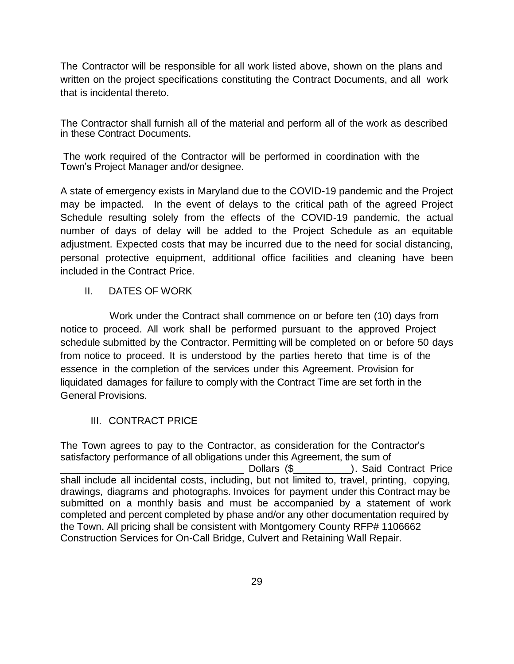The Contractor will be responsible for all work listed above, shown on the plans and written on the project specifications constituting the Contract Documents, and all work that is incidental thereto.

The Contractor shall furnish all of the material and perform all of the work as described in these Contract Documents.

The work required of the Contractor will be performed in coordination with the Town's Project Manager and/or designee.

A state of emergency exists in Maryland due to the COVID-19 pandemic and the Project may be impacted. In the event of delays to the critical path of the agreed Project Schedule resulting solely from the effects of the COVID-19 pandemic, the actual number of days of delay will be added to the Project Schedule as an equitable adjustment. Expected costs that may be incurred due to the need for social distancing, personal protective equipment, additional office facilities and cleaning have been included in the Contract Price.

# II. DATES OF WORK

Work under the Contract shall commence on or before ten (10) days from notice to proceed. All work shall be performed pursuant to the approved Project schedule submitted by the Contractor. Permitting will be completed on or before 50 days from notice to proceed. It is understood by the parties hereto that time is of the essence in the completion of the services under this Agreement. Provision for liquidated damages for failure to comply with the Contract Time are set forth in the General Provisions.

# III. CONTRACT PRICE

The Town agrees to pay to the Contractor, as consideration for the Contractor's satisfactory performance of all obligations under this Agreement, the sum of \_\_\_\_\_\_\_\_\_\_\_\_\_\_\_\_\_\_\_\_\_\_\_\_\_\_\_\_\_\_\_\_\_ Dollars (\$\_\_\_\_\_\_\_\_\_\_\_\_\_\_\_\_\_ ). Said Contract Price shall include all incidental costs, including, but not limited to, travel, printing, copying, drawings, diagrams and photographs. Invoices for payment under this Contract may be submitted on a monthly basis and must be accompanied by a statement of work completed and percent completed by phase and/or any other documentation required by the Town. All pricing shall be consistent with Montgomery County RFP# 1106662 Construction Services for On-Call Bridge, Culvert and Retaining Wall Repair.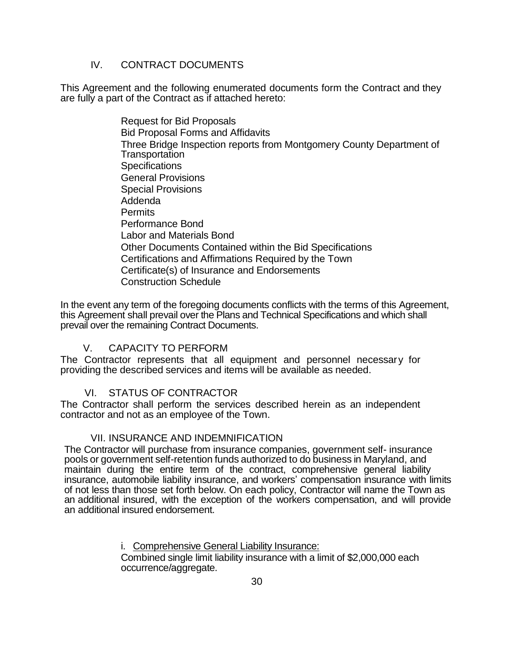# IV. CONTRACT DOCUMENTS

This Agreement and the following enumerated documents form the Contract and they are fully a part of the Contract as if attached hereto:

> Request for Bid Proposals Bid Proposal Forms and Affidavits Three Bridge Inspection reports from Montgomery County Department of **Transportation Specifications** General Provisions Special Provisions Addenda Permits Performance Bond Labor and Materials Bond Other Documents Contained within the Bid Specifications Certifications and Affirmations Required by the Town Certificate(s) of Insurance and Endorsements Construction Schedule

In the event any term of the foregoing documents conflicts with the terms of this Agreement, this Agreement shall prevail over the Plans and Technical Specifications and which shall prevail over the remaining Contract Documents.

## V. CAPACITY TO PERFORM

The Contractor represents that all equipment and personnel necessary for providing the described services and items will be available as needed.

# VI. STATUS OF CONTRACTOR

The Contractor shall perform the services described herein as an independent contractor and not as an employee of the Town.

## VII. INSURANCE AND INDEMNIFICATION

The Contractor will purchase from insurance companies, government self- insurance pools or government self-retention funds authorized to do business in Maryland, and maintain during the entire term of the contract, comprehensive general liability insurance, automobile liability insurance, and workers' compensation insurance with limits of not less than those set forth below. On each policy, Contractor will name the Town as an additional insured, with the exception of the workers compensation, and will provide an additional insured endorsement.

i. Comprehensive General Liability Insurance:

Combined single limit liability insurance with a limit of \$2,000,000 each occurrence/aggregate.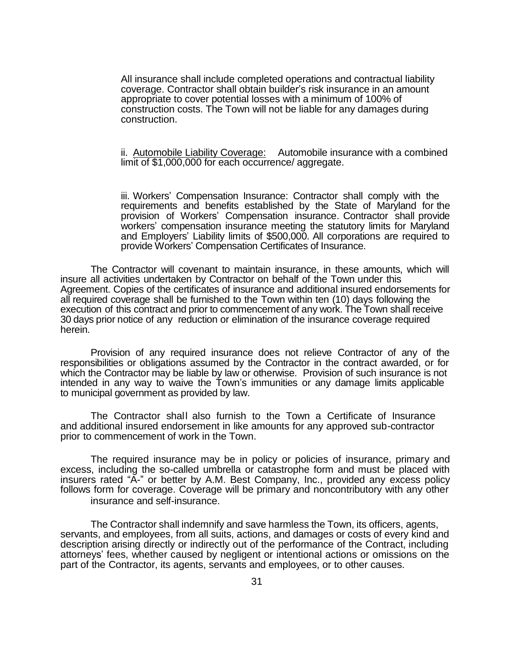All insurance shall include completed operations and contractual liability coverage. Contractor shall obtain builder's risk insurance in an amount appropriate to cover potential losses with a minimum of 100% of construction costs. The Town will not be liable for any damages during construction.

### ii. Automobile Liability Coverage: Automobile insurance with a combined limit of \$1,000,000 for each occurrence/ aggregate.

iii. Workers' Compensation Insurance: Contractor shall comply with the requirements and benefits established by the State of Maryland for the provision of Workers' Compensation insurance. Contractor shall provide workers' compensation insurance meeting the statutory limits for Maryland and Employers' Liability limits of \$500,000. All corporations are required to provide Workers' Compensation Certificates of Insurance.

The Contractor will covenant to maintain insurance, in these amounts, which will insure all activities undertaken by Contractor on behalf of the Town under this Agreement. Copies of the certificates of insurance and additional insured endorsements for all required coverage shall be furnished to the Town within ten (10) days following the execution of this contract and prior to commencement of any work. The Town shall receive 30 days prior notice of any reduction or elimination of the insurance coverage required herein.

Provision of any required insurance does not relieve Contractor of any of the responsibilities or obligations assumed by the Contractor in the contract awarded, or for which the Contractor may be liable by law or otherwise. Provision of such insurance is not intended in any way to waive the Town's immunities or any damage limits applicable to municipal government as provided by law.

The Contractor shall also furnish to the Town a Certificate of Insurance and additional insured endorsement in like amounts for any approved sub-contractor prior to commencement of work in the Town.

The required insurance may be in policy or policies of insurance, primary and excess, including the so-called umbrella or catastrophe form and must be placed with insurers rated "A-" or better by A.M. Best Company, Inc., provided any excess policy follows form for coverage. Coverage will be primary and noncontributory with any other insurance and self-insurance.

The Contractor shall indemnify and save harmless the Town, its officers, agents, servants, and employees, from all suits, actions, and damages or costs of every kind and description arising directly or indirectly out of the performance of the Contract, including attorneys' fees, whether caused by negligent or intentional actions or omissions on the part of the Contractor, its agents, servants and employees, or to other causes.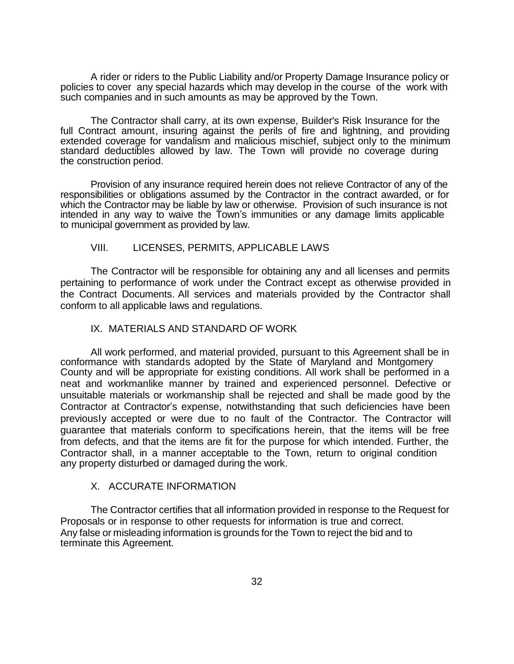A rider or riders to the Public Liability and/or Property Damage Insurance policy or policies to cover any special hazards which may develop in the course of the work with such companies and in such amounts as may be approved by the Town.

The Contractor shall carry, at its own expense, Builder's Risk Insurance for the full Contract amount, insuring against the perils of fire and lightning, and providing extended coverage for vandalism and malicious mischief, subject only to the minimum standard deductibles allowed by law. The Town will provide no coverage during the construction period.

Provision of any insurance required herein does not relieve Contractor of any of the responsibilities or obligations assumed by the Contractor in the contract awarded, or for which the Contractor may be liable by law or otherwise. Provision of such insurance is not intended in any way to waive the Town's immunities or any damage limits applicable to municipal government as provided by law.

### VIII. LICENSES, PERMITS, APPLICABLE LAWS

The Contractor will be responsible for obtaining any and all licenses and permits pertaining to performance of work under the Contract except as otherwise provided in the Contract Documents. All services and materials provided by the Contractor shall conform to all applicable laws and regulations.

### IX. MATERIALS AND STANDARD OF WORK

All work performed, and material provided, pursuant to this Agreement shall be in conformance with standards adopted by the State of Maryland and Montgomery County and will be appropriate for existing conditions. All work shall be performed in a neat and workmanlike manner by trained and experienced personnel. Defective or unsuitable materials or workmanship shall be rejected and shall be made good by the Contractor at Contractor's expense, notwithstanding that such deficiencies have been previously accepted or were due to no fault of the Contractor. The Contractor will guarantee that materials conform to specifications herein, that the items will be free from defects, and that the items are fit for the purpose for which intended. Further, the Contractor shall, in a manner acceptable to the Town, return to original condition any property disturbed or damaged during the work.

### X. ACCURATE INFORMATION

The Contractor certifies that all information provided in response to the Request for Proposals or in response to other requests for information is true and correct. Any false or misleading information is grounds for the Town to reject the bid and to terminate this Agreement.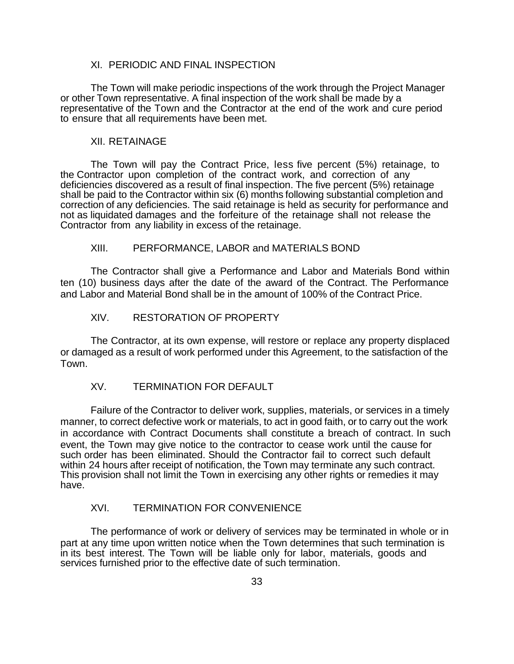### XI. PERIODIC AND FINAL INSPECTION

The Town will make periodic inspections of the work through the Project Manager or other Town representative. A final inspection of the work shall be made by a representative of the Town and the Contractor at the end of the work and cure period to ensure that all requirements have been met.

#### XII. RETAINAGE

The Town will pay the Contract Price, less five percent (5%) retainage, to the Contractor upon completion of the contract work, and correction of any deficiencies discovered as a result of final inspection. The five percent (5%) retainage shall be paid to the Contractor within six (6) months following substantial completion and correction of any deficiencies. The said retainage is held as security for performance and not as liquidated damages and the forfeiture of the retainage shall not release the Contractor from any liability in excess of the retainage.

### XIII. PERFORMANCE, LABOR and MATERIALS BOND

The Contractor shall give a Performance and Labor and Materials Bond within ten (10) business days after the date of the award of the Contract. The Performance and Labor and Material Bond shall be in the amount of 100% of the Contract Price.

### XIV. RESTORATION OF PROPERTY

The Contractor, at its own expense, will restore or replace any property displaced or damaged as a result of work performed under this Agreement, to the satisfaction of the Town.

## XV. TERMINATION FOR DEFAULT

Failure of the Contractor to deliver work, supplies, materials, or services in a timely manner, to correct defective work or materials, to act in good faith, or to carry out the work in accordance with Contract Documents shall constitute a breach of contract. In such event, the Town may give notice to the contractor to cease work until the cause for such order has been eliminated. Should the Contractor fail to correct such default within 24 hours after receipt of notification, the Town may terminate any such contract. This provision shall not limit the Town in exercising any other rights or remedies it may have.

### XVI. TERMINATION FOR CONVENIENCE

The performance of work or delivery of services may be terminated in whole or in part at any time upon written notice when the Town determines that such termination is in its best interest. The Town will be liable only for labor, materials, goods and services furnished prior to the effective date of such termination.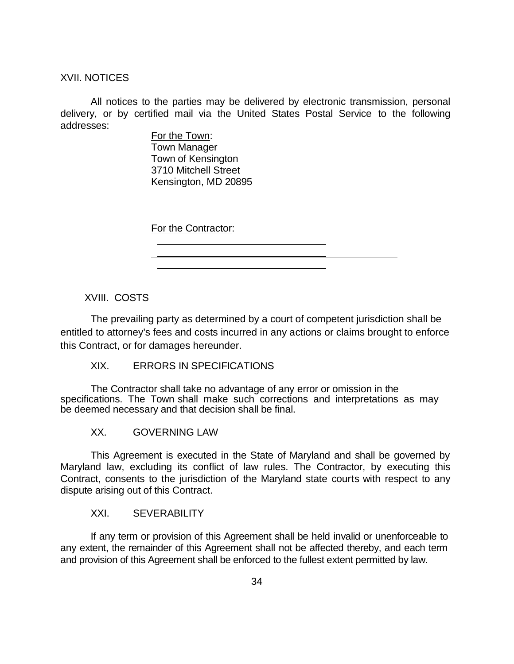XVII. NOTICES

All notices to the parties may be delivered by electronic transmission, personal delivery, or by certified mail via the United States Postal Service to the following addresses:

> For the Town: Town Manager Town of Kensington 3710 Mitchell Street Kensington, MD 20895

For the Contractor:

XVIII. COSTS

The prevailing party as determined by a court of competent jurisdiction shall be entitled to attorney's fees and costs incurred in any actions or claims brought to enforce this Contract, or for damages hereunder.

XIX. ERRORS IN SPECIFICATIONS

The Contractor shall take no advantage of any error or omission in the specifications. The Town shall make such corrections and interpretations as may be deemed necessary and that decision shall be final.

XX. GOVERNING LAW

This Agreement is executed in the State of Maryland and shall be governed by Maryland law, excluding its conflict of law rules. The Contractor, by executing this Contract, consents to the jurisdiction of the Maryland state courts with respect to any dispute arising out of this Contract.

XXI. SEVERABILITY

If any term or provision of this Agreement shall be held invalid or unenforceable to any extent, the remainder of this Agreement shall not be affected thereby, and each term and provision of this Agreement shall be enforced to the fullest extent permitted by law.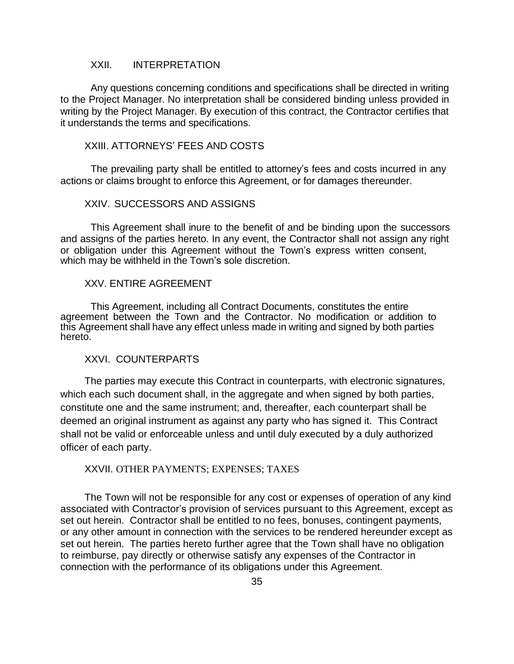### XXII. INTERPRETATION

Any questions concerning conditions and specifications shall be directed in writing to the Project Manager. No interpretation shall be considered binding unless provided in writing by the Project Manager. By execution of this contract, the Contractor certifies that it understands the terms and specifications.

### XXIII. ATTORNEYS' FEES AND COSTS

The prevailing party shall be entitled to attorney's fees and costs incurred in any actions or claims brought to enforce this Agreement, or for damages thereunder.

### XXIV. SUCCESSORS AND ASSIGNS

This Agreement shall inure to the benefit of and be binding upon the successors and assigns of the parties hereto. In any event, the Contractor shall not assign any right or obligation under this Agreement without the Town's express written consent, which may be withheld in the Town's sole discretion.

#### XXV. ENTIRE AGREEMENT

This Agreement, including all Contract Documents, constitutes the entire agreement between the Town and the Contractor. No modification or addition to this Agreement shall have any effect unless made in writing and signed by both parties hereto.

### XXVI. COUNTERPARTS

The parties may execute this Contract in counterparts, with electronic signatures, which each such document shall, in the aggregate and when signed by both parties, constitute one and the same instrument; and, thereafter, each counterpart shall be deemed an original instrument as against any party who has signed it. This Contract shall not be valid or enforceable unless and until duly executed by a duly authorized officer of each party.

### XXVII. OTHER PAYMENTS; EXPENSES; TAXES

The Town will not be responsible for any cost or expenses of operation of any kind associated with Contractor's provision of services pursuant to this Agreement, except as set out herein. Contractor shall be entitled to no fees, bonuses, contingent payments, or any other amount in connection with the services to be rendered hereunder except as set out herein. The parties hereto further agree that the Town shall have no obligation to reimburse, pay directly or otherwise satisfy any expenses of the Contractor in connection with the performance of its obligations under this Agreement.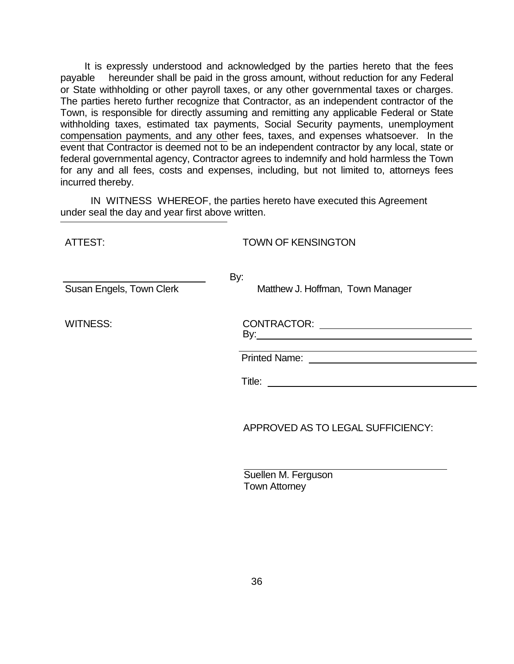It is expressly understood and acknowledged by the parties hereto that the fees payable hereunder shall be paid in the gross amount, without reduction for any Federal or State withholding or other payroll taxes, or any other governmental taxes or charges. The parties hereto further recognize that Contractor, as an independent contractor of the Town, is responsible for directly assuming and remitting any applicable Federal or State withholding taxes, estimated tax payments, Social Security payments, unemployment compensation payments, and any other fees, taxes, and expenses whatsoever. In the event that Contractor is deemed not to be an independent contractor by any local, state or federal governmental agency, Contractor agrees to indemnify and hold harmless the Town for any and all fees, costs and expenses, including, but not limited to, attorneys fees incurred thereby.

IN WITNESS WHEREOF, the parties hereto have executed this Agreement under seal the day and year first above written.

ATTEST: TOWN OF KENSINGTON

| ALLESE                   | TOWN OF KENSINGTON                                                                                                   |
|--------------------------|----------------------------------------------------------------------------------------------------------------------|
| Susan Engels, Town Clerk | By:<br>Matthew J. Hoffman, Town Manager                                                                              |
| <b>WITNESS:</b>          | <u> 1989 - Johann Stein, marwolaethau a bhann an t-Amhair an t-Amhair an t-Amhair an t-Amhair an t-Amhair an t-A</u> |
|                          |                                                                                                                      |
|                          | APPROVED AS TO LEGAL SUFFICIENCY:                                                                                    |

| Suellen M. Ferguson |  |
|---------------------|--|
| Town Attorney       |  |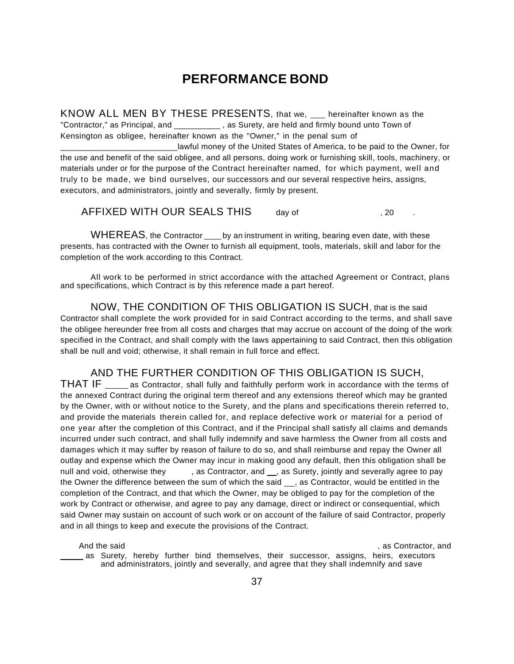# **PERFORMANCE BOND**

KNOW ALL MEN BY THESE PRESENTS, that we, hereinafter known as the "Contractor," as Principal, and \_\_\_\_\_\_\_\_\_\_, as Surety, are held and firmly bound unto Town of Kensington as obligee, hereinafter known as the "Owner," in the penal sum of

Lawful money of the United States of America, to be paid to the Owner, for the use and benefit of the said obligee, and all persons, doing work or furnishing skill, tools, machinery, or materials under or for the purpose of the Contract hereinafter named, for which payment, well and truly to be made, we bind ourselves, our successors and our several respective heirs, assigns, executors, and administrators, jointly and severally, firmly by present.

AFFIXED WITH OUR SEALS THIS day of  $\qquad \qquad , 20$ 

WHEREAS, the Contractor <u>same</u> by an instrument in writing, bearing even date, with these presents, has contracted with the Owner to furnish all equipment, tools, materials, skill and labor for the completion of the work according to this Contract.

All work to be performed in strict accordance with the attached Agreement or Contract, plans and specifications, which Contract is by this reference made a part hereof.

NOW, THE CONDITION OF THIS OBLIGATION IS SUCH, that is the said Contractor shall complete the work provided for in said Contract according to the terms, and shall save the obligee hereunder free from all costs and charges that may accrue on account of the doing of the work specified in the Contract, and shall comply with the laws appertaining to said Contract, then this obligation shall be null and void; otherwise, it shall remain in full force and effect.

### AND THE FURTHER CONDITION OF THIS OBLIGATION IS SUCH,

THAT IF as Contractor, shall fully and faithfully perform work in accordance with the terms of the annexed Contract during the original term thereof and any extensions thereof which may be granted by the Owner, with or without notice to the Surety, and the plans and specifications therein referred to, and provide the materials therein called for, and replace defective work or material for a period of one year after the completion of this Contract, and if the Principal shall satisfy all claims and demands incurred under such contract, and shall fully indemnify and save harmless the Owner from all costs and damages which it may suffer by reason of failure to do so, and shall reimburse and repay the Owner all outlay and expense which the Owner may incur in making good any default, then this obligation shall be null and void, otherwise they , as Contractor, and , as Surety, jointly and severally agree to pay the Owner the difference between the sum of which the said \_\_, as Contractor, would be entitled in the completion of the Contract, and that which the Owner, may be obliged to pay for the completion of the work by Contract or otherwise, and agree to pay any damage, direct or indirect or consequential, which said Owner may sustain on account of such work or on account of the failure of said Contractor, properly and in all things to keep and execute the provisions of the Contract.

And the said and the said of the same state of the same state of the same state of the same state of the same state of the same state of the same state of the same state of the same state of the same state of the same stat as Surety, hereby further bind themselves, their successor, assigns, heirs, executors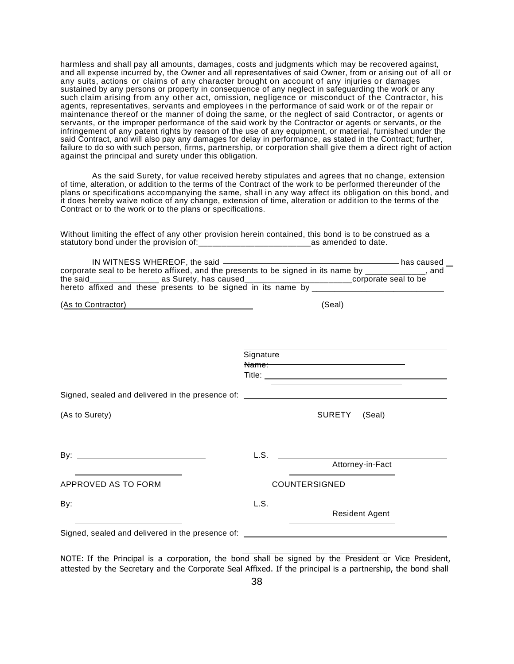harmless and shall pay all amounts, damages, costs and judgments which may be recovered against, and all expense incurred by, the Owner and all representatives of said Owner, from or arising out of all or any suits, actions or claims of any character brought on account of any injuries or damages sustained by any persons or property in consequence of any neglect in safeguarding the work or any such claim arising from any other act, omission, negligence or misconduct of the Contractor, his agents, representatives, servants and employees in the performance of said work or of the repair or maintenance thereof or the manner of doing the same, or the neglect of said Contractor, or agents or servants, or the improper performance of the said work by the Contractor or agents or servants, or the infringement of any patent rights by reason of the use of any equipment, or material, furnished under the said Contract, and will also pay any damages for delay in performance, as stated in the Contract; further, failure to do so with such person, firms, partnership, or corporation shall give them a direct right of action against the principal and surety under this obligation.

As the said Surety, for value received hereby stipulates and agrees that no change, extension of time, alteration, or addition to the terms of the Contract of the work to be performed thereunder of the plans or specifications accompanying the same, shall in any way affect its obligation on this bond, and it does hereby waive notice of any change, extension of time, alteration or addition to the terms of the Contract or to the work or to the plans or specifications.

Without limiting the effect of any other provision herein contained, this bond is to be construed as a statutory bond under the provision of:\_\_\_\_\_\_\_\_\_\_\_\_\_\_\_\_\_\_\_\_\_\_\_\_as amended to date.

| corporate seal to be hereto affixed, and the presents to be signed in its name by _____________, and                  |           |                      |  |
|-----------------------------------------------------------------------------------------------------------------------|-----------|----------------------|--|
|                                                                                                                       |           |                      |  |
|                                                                                                                       |           |                      |  |
| (As to Contractor)                                                                                                    |           | (Seal)               |  |
|                                                                                                                       |           |                      |  |
|                                                                                                                       |           |                      |  |
|                                                                                                                       | Signature |                      |  |
|                                                                                                                       |           |                      |  |
|                                                                                                                       |           |                      |  |
|                                                                                                                       |           |                      |  |
|                                                                                                                       |           |                      |  |
| (As to Surety)                                                                                                        |           | SURETY (Seal)        |  |
|                                                                                                                       |           |                      |  |
| By: $\qquad \qquad$                                                                                                   |           |                      |  |
|                                                                                                                       |           | Attorney-in-Fact     |  |
| APPROVED AS TO FORM                                                                                                   |           | <b>COUNTERSIGNED</b> |  |
|                                                                                                                       |           |                      |  |
| <u> 1990 - Jan Barbara de Carlos de Carlos de Carlos de Carlos de Carlos de Carlos de Carlos de Carlos de Carlos </u> |           | Resident Agent       |  |
| Signed, sealed and delivered in the presence of: _______________________________                                      |           |                      |  |
|                                                                                                                       |           |                      |  |

NOTE: If the Principal is a corporation, the bond shall be signed by the President or Vice President, attested by the Secretary and the Corporate Seal Affixed. If the principal is a partnership, the bond shall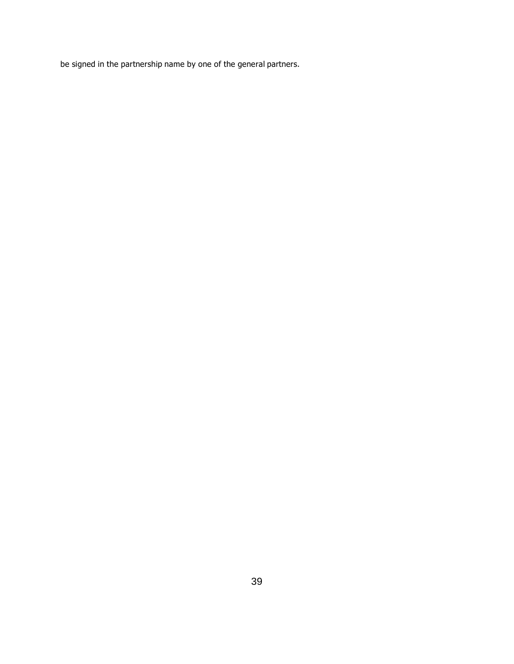be signed in the partnership name by one of the general partners.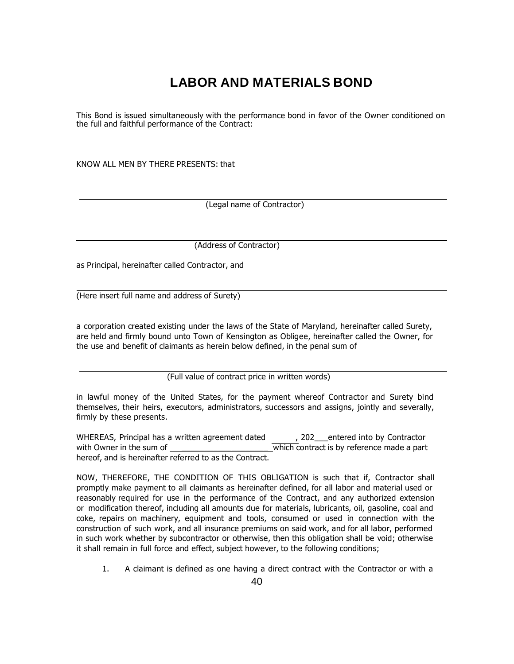# **LABOR AND MATERIALS BOND**

This Bond is issued simultaneously with the performance bond in favor of the Owner conditioned on the full and faithful performance of the Contract:

KNOW ALL MEN BY THERE PRESENTS: that

(Legal name of Contractor)

(Address of Contractor)

as Principal, hereinafter called Contractor, and

(Here insert full name and address of Surety)

a corporation created existing under the laws of the State of Maryland, hereinafter called Surety, are held and firmly bound unto Town of Kensington as Obligee, hereinafter called the Owner, for the use and benefit of claimants as herein below defined, in the penal sum of

(Full value of contract price in written words)

in lawful money of the United States, for the payment whereof Contractor and Surety bind themselves, their heirs, executors, administrators, successors and assigns, jointly and severally, firmly by these presents.

WHEREAS, Principal has a written agreement dated and apple perferred into by Contractor with Owner in the sum of  $\overline{w}$  which contract is by reference made a part hereof, and is hereinafter referred to as the Contract.

NOW, THEREFORE, THE CONDITION OF THIS OBLIGATION is such that if, Contractor shall promptly make payment to all claimants as hereinafter defined, for all labor and material used or reasonably required for use in the performance of the Contract, and any authorized extension or modification thereof, including all amounts due for materials, lubricants, oil, gasoline, coal and coke, repairs on machinery, equipment and tools, consumed or used in connection with the construction of such work, and all insurance premiums on said work, and for all labor, performed in such work whether by subcontractor or otherwise, then this obligation shall be void; otherwise it shall remain in full force and effect, subject however, to the following conditions;

1. A claimant is defined as one having a direct contract with the Contractor or with a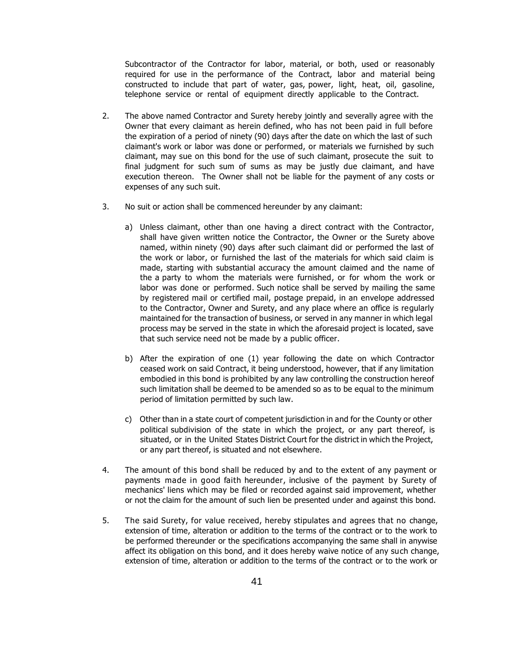Subcontractor of the Contractor for labor, material, or both, used or reasonably required for use in the performance of the Contract, labor and material being constructed to include that part of water, gas, power, light, heat, oil, gasoline, telephone service or rental of equipment directly applicable to the Contract.

- 2. The above named Contractor and Surety hereby jointly and severally agree with the Owner that every claimant as herein defined, who has not been paid in full before the expiration of a period of ninety (90) days after the date on which the last of such claimant's work or labor was done or performed, or materials we furnished by such claimant, may sue on this bond for the use of such claimant, prosecute the suit to final judgment for such sum of sums as may be justly due claimant, and have execution thereon. The Owner shall not be liable for the payment of any costs or expenses of any such suit.
- 3. No suit or action shall be commenced hereunder by any claimant:
	- a) Unless claimant, other than one having a direct contract with the Contractor, shall have given written notice the Contractor, the Owner or the Surety above named, within ninety (90) days after such claimant did or performed the last of the work or labor, or furnished the last of the materials for which said claim is made, starting with substantial accuracy the amount claimed and the name of the a party to whom the materials were furnished, or for whom the work or labor was done or performed. Such notice shall be served by mailing the same by registered mail or certified mail, postage prepaid, in an envelope addressed to the Contractor, Owner and Surety, and any place where an office is regularly maintained for the transaction of business, or served in any manner in which legal process may be served in the state in which the aforesaid project is located, save that such service need not be made by a public officer.
	- b) After the expiration of one (1) year following the date on which Contractor ceased work on said Contract, it being understood, however, that if any limitation embodied in this bond is prohibited by any law controlling the construction hereof such limitation shall be deemed to be amended so as to be equal to the minimum period of limitation permitted by such law.
	- c) Other than in a state court of competent jurisdiction in and for the County or other political subdivision of the state in which the project, or any part thereof, is situated, or in the United States District Court for the district in which the Project, or any part thereof, is situated and not elsewhere.
- 4. The amount of this bond shall be reduced by and to the extent of any payment or payments made in good faith hereunder, inclusive of the payment by Surety of mechanics' liens which may be filed or recorded against said improvement, whether or not the claim for the amount of such lien be presented under and against this bond.
- 5. The said Surety, for value received, hereby stipulates and agrees that no change, extension of time, alteration or addition to the terms of the contract or to the work to be performed thereunder or the specifications accompanying the same shall in anywise affect its obligation on this bond, and it does hereby waive notice of any such change, extension of time, alteration or addition to the terms of the contract or to the work or